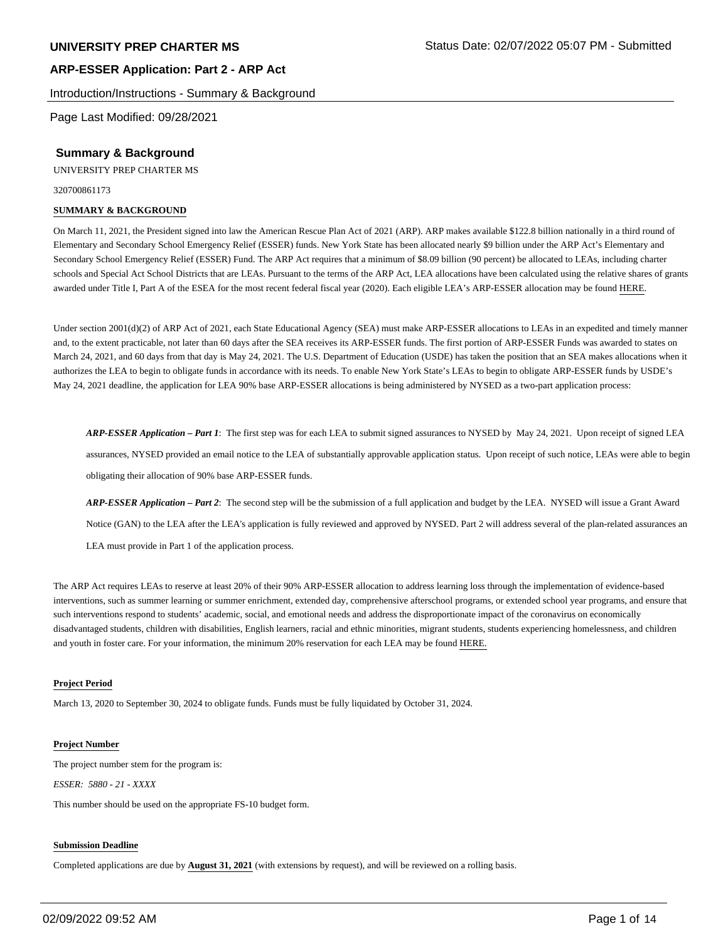#### Introduction/Instructions - Summary & Background

Page Last Modified: 09/28/2021

#### **Summary & Background**

UNIVERSITY PREP CHARTER MS

320700861173

#### **SUMMARY & BACKGROUND**

On March 11, 2021, the President signed into law the American Rescue Plan Act of 2021 (ARP). ARP makes available \$122.8 billion nationally in a third round of Elementary and Secondary School Emergency Relief (ESSER) funds. New York State has been allocated nearly \$9 billion under the ARP Act's Elementary and Secondary School Emergency Relief (ESSER) Fund. The ARP Act requires that a minimum of \$8.09 billion (90 percent) be allocated to LEAs, including charter schools and Special Act School Districts that are LEAs. Pursuant to the terms of the ARP Act, LEA allocations have been calculated using the relative shares of grants awarded under Title I, Part A of the ESEA for the most recent federal fiscal year (2020). Each eligible LEA's ARP-ESSER allocation may be found HERE.

Under section 2001(d)(2) of ARP Act of 2021, each State Educational Agency (SEA) must make ARP-ESSER allocations to LEAs in an expedited and timely manner and, to the extent practicable, not later than 60 days after the SEA receives its ARP-ESSER funds. The first portion of ARP-ESSER Funds was awarded to states on March 24, 2021, and 60 days from that day is May 24, 2021. The U.S. Department of Education (USDE) has taken the position that an SEA makes allocations when it authorizes the LEA to begin to obligate funds in accordance with its needs. To enable New York State's LEAs to begin to obligate ARP-ESSER funds by USDE's May 24, 2021 deadline, the application for LEA 90% base ARP-ESSER allocations is being administered by NYSED as a two-part application process:

*ARP-ESSER Application – Part 1*: The first step was for each LEA to submit signed assurances to NYSED by May 24, 2021. Upon receipt of signed LEA assurances, NYSED provided an email notice to the LEA of substantially approvable application status. Upon receipt of such notice, LEAs were able to begin obligating their allocation of 90% base ARP-ESSER funds.

*ARP-ESSER Application – Part 2*: The second step will be the submission of a full application and budget by the LEA. NYSED will issue a Grant Award Notice (GAN) to the LEA after the LEA's application is fully reviewed and approved by NYSED. Part 2 will address several of the plan-related assurances an LEA must provide in Part 1 of the application process.

The ARP Act requires LEAs to reserve at least 20% of their 90% ARP-ESSER allocation to address learning loss through the implementation of evidence-based interventions, such as summer learning or summer enrichment, extended day, comprehensive afterschool programs, or extended school year programs, and ensure that such interventions respond to students' academic, social, and emotional needs and address the disproportionate impact of the coronavirus on economically disadvantaged students, children with disabilities, English learners, racial and ethnic minorities, migrant students, students experiencing homelessness, and children and youth in foster care. For your information, the minimum 20% reservation for each LEA may be found HERE.

#### **Project Period**

March 13, 2020 to September 30, 2024 to obligate funds. Funds must be fully liquidated by October 31, 2024.

#### **Project Number**

The project number stem for the program is:

*ESSER: 5880 - 21 - XXXX*

This number should be used on the appropriate FS-10 budget form.

#### **Submission Deadline**

Completed applications are due by **August 31, 2021** (with extensions by request), and will be reviewed on a rolling basis.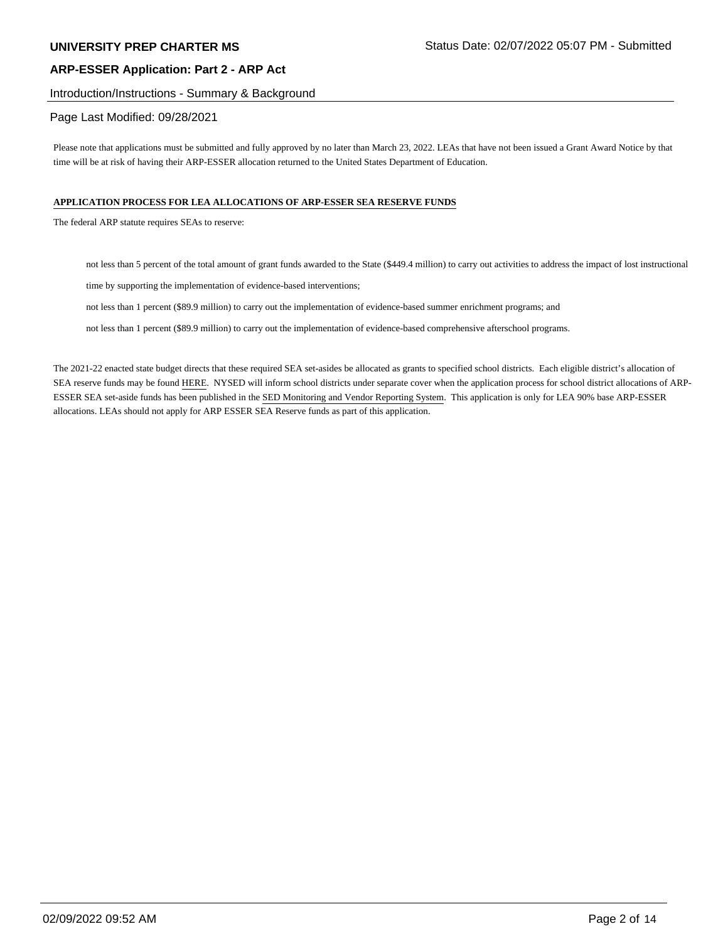#### Introduction/Instructions - Summary & Background

## Page Last Modified: 09/28/2021

Please note that applications must be submitted and fully approved by no later than March 23, 2022. LEAs that have not been issued a Grant Award Notice by that time will be at risk of having their ARP-ESSER allocation returned to the United States Department of Education.

#### **APPLICATION PROCESS FOR LEA ALLOCATIONS OF ARP-ESSER SEA RESERVE FUNDS**

The federal ARP statute requires SEAs to reserve:

not less than 5 percent of the total amount of grant funds awarded to the State (\$449.4 million) to carry out activities to address the impact of lost instructional

time by supporting the implementation of evidence-based interventions;

not less than 1 percent (\$89.9 million) to carry out the implementation of evidence-based summer enrichment programs; and

not less than 1 percent (\$89.9 million) to carry out the implementation of evidence-based comprehensive afterschool programs.

The 2021-22 enacted state budget directs that these required SEA set-asides be allocated as grants to specified school districts. Each eligible district's allocation of SEA reserve funds may be found HERE. NYSED will inform school districts under separate cover when the application process for school district allocations of ARP-ESSER SEA set-aside funds has been published in the SED Monitoring and Vendor Reporting System. This application is only for LEA 90% base ARP-ESSER allocations. LEAs should not apply for ARP ESSER SEA Reserve funds as part of this application.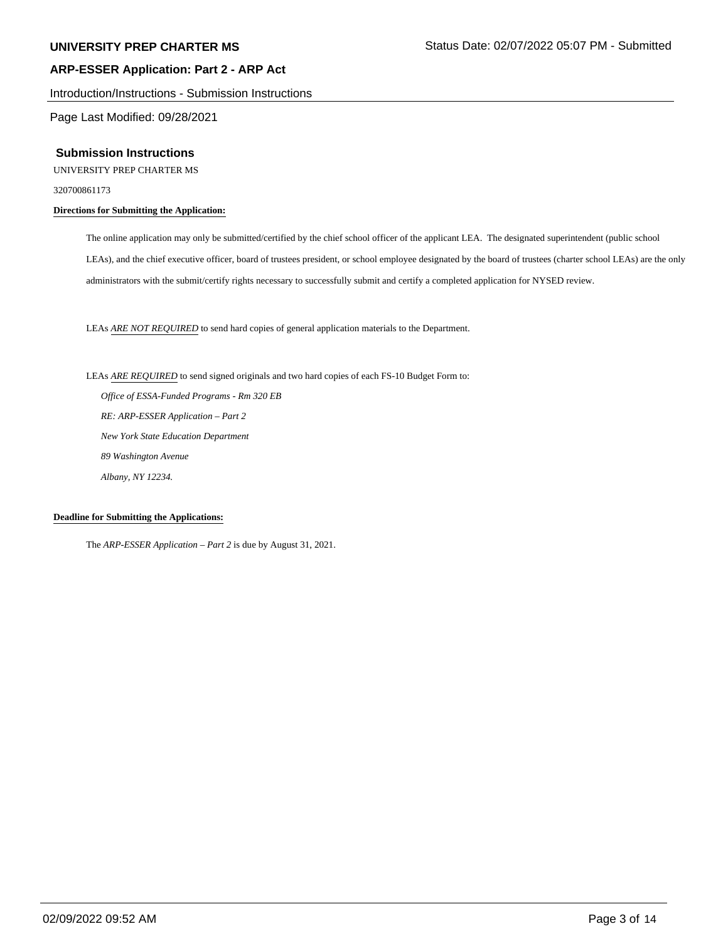Introduction/Instructions - Submission Instructions

Page Last Modified: 09/28/2021

#### **Submission Instructions**

UNIVERSITY PREP CHARTER MS

320700861173

## **Directions for Submitting the Application:**

The online application may only be submitted/certified by the chief school officer of the applicant LEA. The designated superintendent (public school LEAs), and the chief executive officer, board of trustees president, or school employee designated by the board of trustees (charter school LEAs) are the only administrators with the submit/certify rights necessary to successfully submit and certify a completed application for NYSED review.

LEAs *ARE NOT REQUIRED* to send hard copies of general application materials to the Department.

LEAs *ARE REQUIRED* to send signed originals and two hard copies of each FS-10 Budget Form to:

 *Office of ESSA-Funded Programs - Rm 320 EB RE: ARP-ESSER Application – Part 2 New York State Education Department 89 Washington Avenue Albany, NY 12234.*

#### **Deadline for Submitting the Applications:**

The *ARP-ESSER Application – Part 2* is due by August 31, 2021.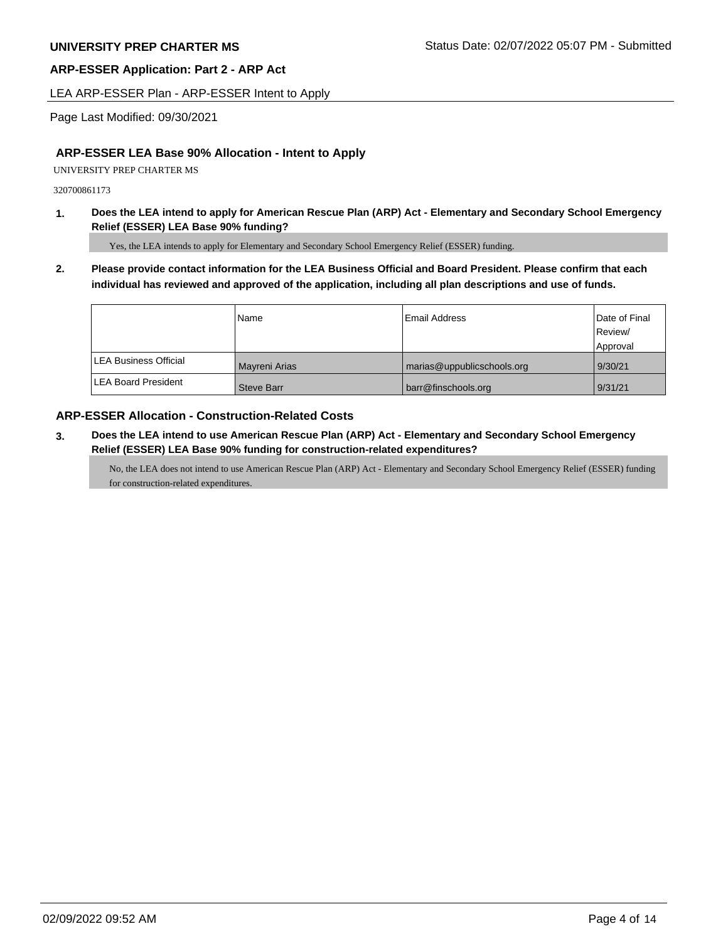LEA ARP-ESSER Plan - ARP-ESSER Intent to Apply

Page Last Modified: 09/30/2021

# **ARP-ESSER LEA Base 90% Allocation - Intent to Apply**

UNIVERSITY PREP CHARTER MS

320700861173

**1. Does the LEA intend to apply for American Rescue Plan (ARP) Act - Elementary and Secondary School Emergency Relief (ESSER) LEA Base 90% funding?**

Yes, the LEA intends to apply for Elementary and Secondary School Emergency Relief (ESSER) funding.

**2. Please provide contact information for the LEA Business Official and Board President. Please confirm that each individual has reviewed and approved of the application, including all plan descriptions and use of funds.** 

|                              | Name              | Email Address              | Date of Final<br>Review/ |
|------------------------------|-------------------|----------------------------|--------------------------|
|                              |                   |                            | Approval                 |
| <b>LEA Business Official</b> | Mayreni Arias     | marias@uppublicschools.org | 9/30/21                  |
| <b>ILEA Board President</b>  | <b>Steve Barr</b> | barr@finschools.org        | 9/31/21                  |

# **ARP-ESSER Allocation - Construction-Related Costs**

**3. Does the LEA intend to use American Rescue Plan (ARP) Act - Elementary and Secondary School Emergency Relief (ESSER) LEA Base 90% funding for construction-related expenditures?**

No, the LEA does not intend to use American Rescue Plan (ARP) Act - Elementary and Secondary School Emergency Relief (ESSER) funding for construction-related expenditures.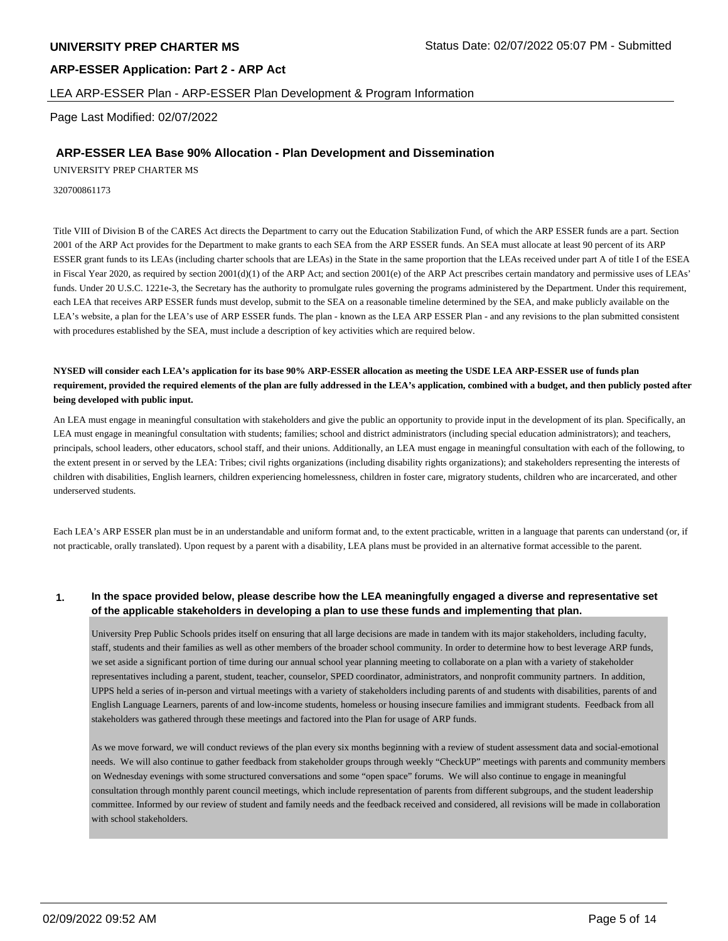## LEA ARP-ESSER Plan - ARP-ESSER Plan Development & Program Information

Page Last Modified: 02/07/2022

## **ARP-ESSER LEA Base 90% Allocation - Plan Development and Dissemination**

UNIVERSITY PREP CHARTER MS

320700861173

Title VIII of Division B of the CARES Act directs the Department to carry out the Education Stabilization Fund, of which the ARP ESSER funds are a part. Section 2001 of the ARP Act provides for the Department to make grants to each SEA from the ARP ESSER funds. An SEA must allocate at least 90 percent of its ARP ESSER grant funds to its LEAs (including charter schools that are LEAs) in the State in the same proportion that the LEAs received under part A of title I of the ESEA in Fiscal Year 2020, as required by section 2001(d)(1) of the ARP Act; and section 2001(e) of the ARP Act prescribes certain mandatory and permissive uses of LEAs' funds. Under 20 U.S.C. 1221e-3, the Secretary has the authority to promulgate rules governing the programs administered by the Department. Under this requirement, each LEA that receives ARP ESSER funds must develop, submit to the SEA on a reasonable timeline determined by the SEA, and make publicly available on the LEA's website, a plan for the LEA's use of ARP ESSER funds. The plan - known as the LEA ARP ESSER Plan - and any revisions to the plan submitted consistent with procedures established by the SEA, must include a description of key activities which are required below.

**NYSED will consider each LEA's application for its base 90% ARP-ESSER allocation as meeting the USDE LEA ARP-ESSER use of funds plan requirement, provided the required elements of the plan are fully addressed in the LEA's application, combined with a budget, and then publicly posted after being developed with public input.**

An LEA must engage in meaningful consultation with stakeholders and give the public an opportunity to provide input in the development of its plan. Specifically, an LEA must engage in meaningful consultation with students; families; school and district administrators (including special education administrators); and teachers, principals, school leaders, other educators, school staff, and their unions. Additionally, an LEA must engage in meaningful consultation with each of the following, to the extent present in or served by the LEA: Tribes; civil rights organizations (including disability rights organizations); and stakeholders representing the interests of children with disabilities, English learners, children experiencing homelessness, children in foster care, migratory students, children who are incarcerated, and other underserved students.

Each LEA's ARP ESSER plan must be in an understandable and uniform format and, to the extent practicable, written in a language that parents can understand (or, if not practicable, orally translated). Upon request by a parent with a disability, LEA plans must be provided in an alternative format accessible to the parent.

### **1. In the space provided below, please describe how the LEA meaningfully engaged a diverse and representative set of the applicable stakeholders in developing a plan to use these funds and implementing that plan.**

University Prep Public Schools prides itself on ensuring that all large decisions are made in tandem with its major stakeholders, including faculty, staff, students and their families as well as other members of the broader school community. In order to determine how to best leverage ARP funds, we set aside a significant portion of time during our annual school year planning meeting to collaborate on a plan with a variety of stakeholder representatives including a parent, student, teacher, counselor, SPED coordinator, administrators, and nonprofit community partners. In addition, UPPS held a series of in-person and virtual meetings with a variety of stakeholders including parents of and students with disabilities, parents of and English Language Learners, parents of and low-income students, homeless or housing insecure families and immigrant students. Feedback from all stakeholders was gathered through these meetings and factored into the Plan for usage of ARP funds.

As we move forward, we will conduct reviews of the plan every six months beginning with a review of student assessment data and social-emotional needs. We will also continue to gather feedback from stakeholder groups through weekly "CheckUP" meetings with parents and community members on Wednesday evenings with some structured conversations and some "open space" forums. We will also continue to engage in meaningful consultation through monthly parent council meetings, which include representation of parents from different subgroups, and the student leadership committee. Informed by our review of student and family needs and the feedback received and considered, all revisions will be made in collaboration with school stakeholders.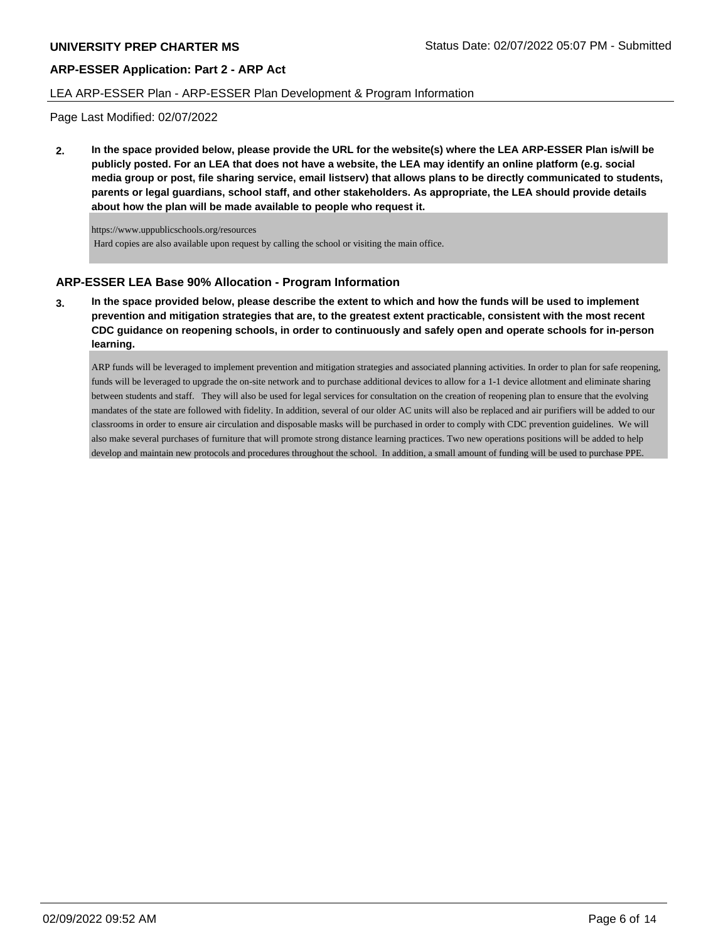#### LEA ARP-ESSER Plan - ARP-ESSER Plan Development & Program Information

Page Last Modified: 02/07/2022

**2. In the space provided below, please provide the URL for the website(s) where the LEA ARP-ESSER Plan is/will be publicly posted. For an LEA that does not have a website, the LEA may identify an online platform (e.g. social media group or post, file sharing service, email listserv) that allows plans to be directly communicated to students, parents or legal guardians, school staff, and other stakeholders. As appropriate, the LEA should provide details about how the plan will be made available to people who request it.**

https://www.uppublicschools.org/resources Hard copies are also available upon request by calling the school or visiting the main office.

# **ARP-ESSER LEA Base 90% Allocation - Program Information**

**3. In the space provided below, please describe the extent to which and how the funds will be used to implement prevention and mitigation strategies that are, to the greatest extent practicable, consistent with the most recent CDC guidance on reopening schools, in order to continuously and safely open and operate schools for in-person learning.**

ARP funds will be leveraged to implement prevention and mitigation strategies and associated planning activities. In order to plan for safe reopening, funds will be leveraged to upgrade the on-site network and to purchase additional devices to allow for a 1-1 device allotment and eliminate sharing between students and staff. They will also be used for legal services for consultation on the creation of reopening plan to ensure that the evolving mandates of the state are followed with fidelity. In addition, several of our older AC units will also be replaced and air purifiers will be added to our classrooms in order to ensure air circulation and disposable masks will be purchased in order to comply with CDC prevention guidelines. We will also make several purchases of furniture that will promote strong distance learning practices. Two new operations positions will be added to help develop and maintain new protocols and procedures throughout the school. In addition, a small amount of funding will be used to purchase PPE.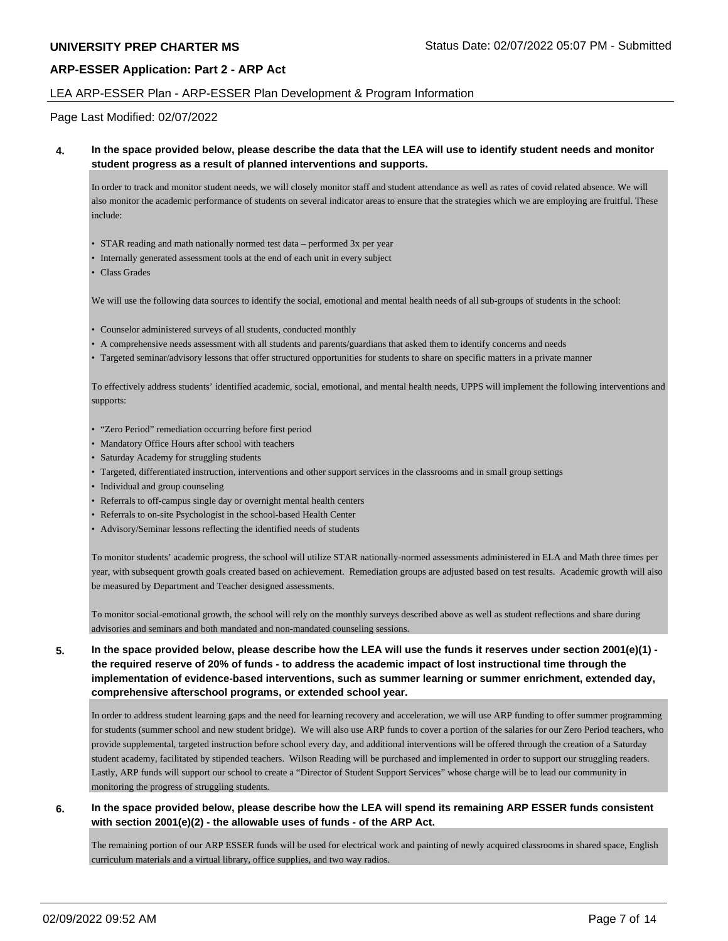### LEA ARP-ESSER Plan - ARP-ESSER Plan Development & Program Information

Page Last Modified: 02/07/2022

#### **4. In the space provided below, please describe the data that the LEA will use to identify student needs and monitor student progress as a result of planned interventions and supports.**

In order to track and monitor student needs, we will closely monitor staff and student attendance as well as rates of covid related absence. We will also monitor the academic performance of students on several indicator areas to ensure that the strategies which we are employing are fruitful. These include:

- STAR reading and math nationally normed test data performed 3x per year
- Internally generated assessment tools at the end of each unit in every subject
- Class Grades

We will use the following data sources to identify the social, emotional and mental health needs of all sub-groups of students in the school:

- Counselor administered surveys of all students, conducted monthly
- A comprehensive needs assessment with all students and parents/guardians that asked them to identify concerns and needs
- Targeted seminar/advisory lessons that offer structured opportunities for students to share on specific matters in a private manner

To effectively address students' identified academic, social, emotional, and mental health needs, UPPS will implement the following interventions and supports:

- "Zero Period" remediation occurring before first period
- Mandatory Office Hours after school with teachers
- Saturday Academy for struggling students
- Targeted, differentiated instruction, interventions and other support services in the classrooms and in small group settings
- Individual and group counseling
- Referrals to off-campus single day or overnight mental health centers
- Referrals to on-site Psychologist in the school-based Health Center
- Advisory/Seminar lessons reflecting the identified needs of students

To monitor students' academic progress, the school will utilize STAR nationally-normed assessments administered in ELA and Math three times per year, with subsequent growth goals created based on achievement. Remediation groups are adjusted based on test results. Academic growth will also be measured by Department and Teacher designed assessments.

To monitor social-emotional growth, the school will rely on the monthly surveys described above as well as student reflections and share during advisories and seminars and both mandated and non-mandated counseling sessions.

# **5. In the space provided below, please describe how the LEA will use the funds it reserves under section 2001(e)(1) the required reserve of 20% of funds - to address the academic impact of lost instructional time through the implementation of evidence-based interventions, such as summer learning or summer enrichment, extended day, comprehensive afterschool programs, or extended school year.**

In order to address student learning gaps and the need for learning recovery and acceleration, we will use ARP funding to offer summer programming for students (summer school and new student bridge). We will also use ARP funds to cover a portion of the salaries for our Zero Period teachers, who provide supplemental, targeted instruction before school every day, and additional interventions will be offered through the creation of a Saturday student academy, facilitated by stipended teachers. Wilson Reading will be purchased and implemented in order to support our struggling readers. Lastly, ARP funds will support our school to create a "Director of Student Support Services" whose charge will be to lead our community in monitoring the progress of struggling students.

### **6. In the space provided below, please describe how the LEA will spend its remaining ARP ESSER funds consistent with section 2001(e)(2) - the allowable uses of funds - of the ARP Act.**

The remaining portion of our ARP ESSER funds will be used for electrical work and painting of newly acquired classrooms in shared space, English curriculum materials and a virtual library, office supplies, and two way radios.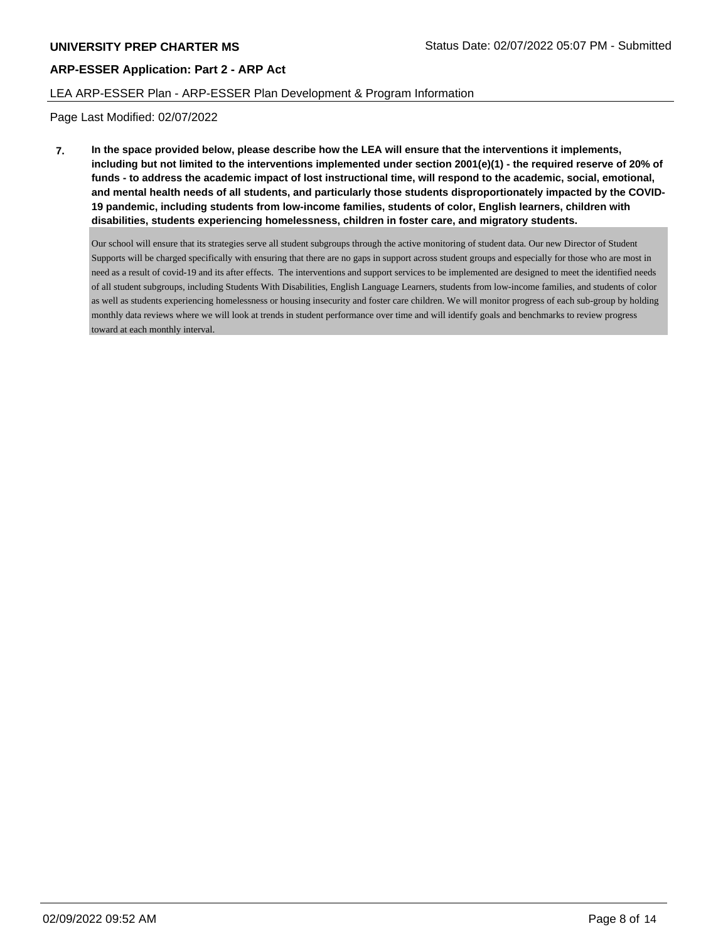## LEA ARP-ESSER Plan - ARP-ESSER Plan Development & Program Information

Page Last Modified: 02/07/2022

**7. In the space provided below, please describe how the LEA will ensure that the interventions it implements, including but not limited to the interventions implemented under section 2001(e)(1) - the required reserve of 20% of funds - to address the academic impact of lost instructional time, will respond to the academic, social, emotional, and mental health needs of all students, and particularly those students disproportionately impacted by the COVID-19 pandemic, including students from low-income families, students of color, English learners, children with disabilities, students experiencing homelessness, children in foster care, and migratory students.**

Our school will ensure that its strategies serve all student subgroups through the active monitoring of student data. Our new Director of Student Supports will be charged specifically with ensuring that there are no gaps in support across student groups and especially for those who are most in need as a result of covid-19 and its after effects. The interventions and support services to be implemented are designed to meet the identified needs of all student subgroups, including Students With Disabilities, English Language Learners, students from low-income families, and students of color as well as students experiencing homelessness or housing insecurity and foster care children. We will monitor progress of each sub-group by holding monthly data reviews where we will look at trends in student performance over time and will identify goals and benchmarks to review progress toward at each monthly interval.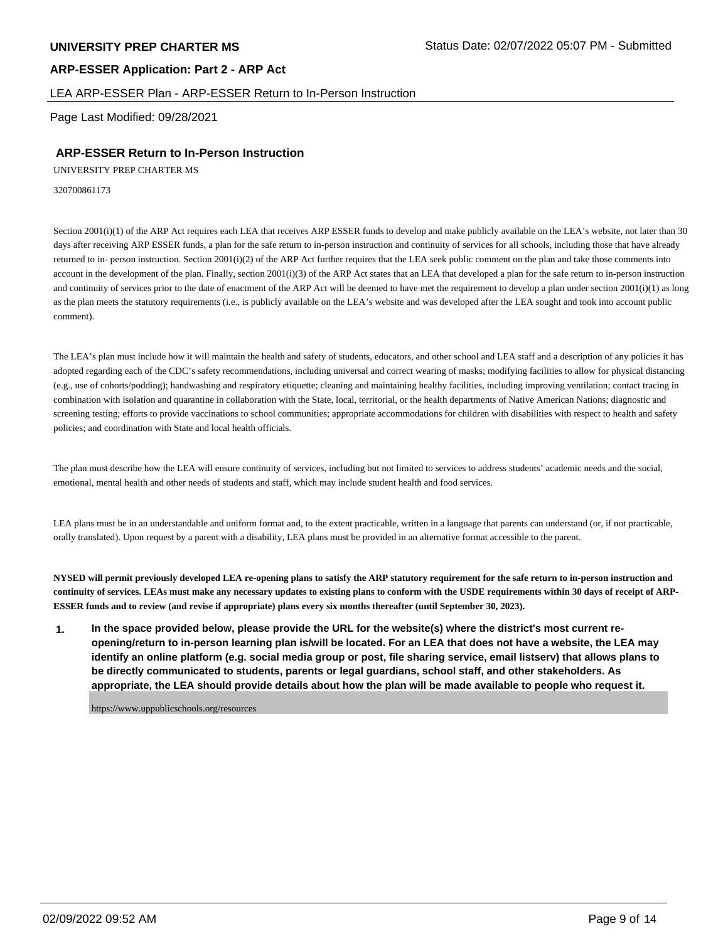#### LEA ARP-ESSER Plan - ARP-ESSER Return to In-Person Instruction

Page Last Modified: 09/28/2021

# **ARP-ESSER Return to In-Person Instruction**

UNIVERSITY PREP CHARTER MS

320700861173

Section 2001(i)(1) of the ARP Act requires each LEA that receives ARP ESSER funds to develop and make publicly available on the LEA's website, not later than 30 days after receiving ARP ESSER funds, a plan for the safe return to in-person instruction and continuity of services for all schools, including those that have already returned to in- person instruction. Section 2001(i)(2) of the ARP Act further requires that the LEA seek public comment on the plan and take those comments into account in the development of the plan. Finally, section 2001(i)(3) of the ARP Act states that an LEA that developed a plan for the safe return to in-person instruction and continuity of services prior to the date of enactment of the ARP Act will be deemed to have met the requirement to develop a plan under section 2001(i)(1) as long as the plan meets the statutory requirements (i.e., is publicly available on the LEA's website and was developed after the LEA sought and took into account public comment).

The LEA's plan must include how it will maintain the health and safety of students, educators, and other school and LEA staff and a description of any policies it has adopted regarding each of the CDC's safety recommendations, including universal and correct wearing of masks; modifying facilities to allow for physical distancing (e.g., use of cohorts/podding); handwashing and respiratory etiquette; cleaning and maintaining healthy facilities, including improving ventilation; contact tracing in combination with isolation and quarantine in collaboration with the State, local, territorial, or the health departments of Native American Nations; diagnostic and screening testing; efforts to provide vaccinations to school communities; appropriate accommodations for children with disabilities with respect to health and safety policies; and coordination with State and local health officials.

The plan must describe how the LEA will ensure continuity of services, including but not limited to services to address students' academic needs and the social, emotional, mental health and other needs of students and staff, which may include student health and food services.

LEA plans must be in an understandable and uniform format and, to the extent practicable, written in a language that parents can understand (or, if not practicable, orally translated). Upon request by a parent with a disability, LEA plans must be provided in an alternative format accessible to the parent.

**NYSED will permit previously developed LEA re-opening plans to satisfy the ARP statutory requirement for the safe return to in-person instruction and continuity of services. LEAs must make any necessary updates to existing plans to conform with the USDE requirements within 30 days of receipt of ARP-ESSER funds and to review (and revise if appropriate) plans every six months thereafter (until September 30, 2023).**

**1. In the space provided below, please provide the URL for the website(s) where the district's most current reopening/return to in-person learning plan is/will be located. For an LEA that does not have a website, the LEA may identify an online platform (e.g. social media group or post, file sharing service, email listserv) that allows plans to be directly communicated to students, parents or legal guardians, school staff, and other stakeholders. As appropriate, the LEA should provide details about how the plan will be made available to people who request it.**

https://www.uppublicschools.org/resources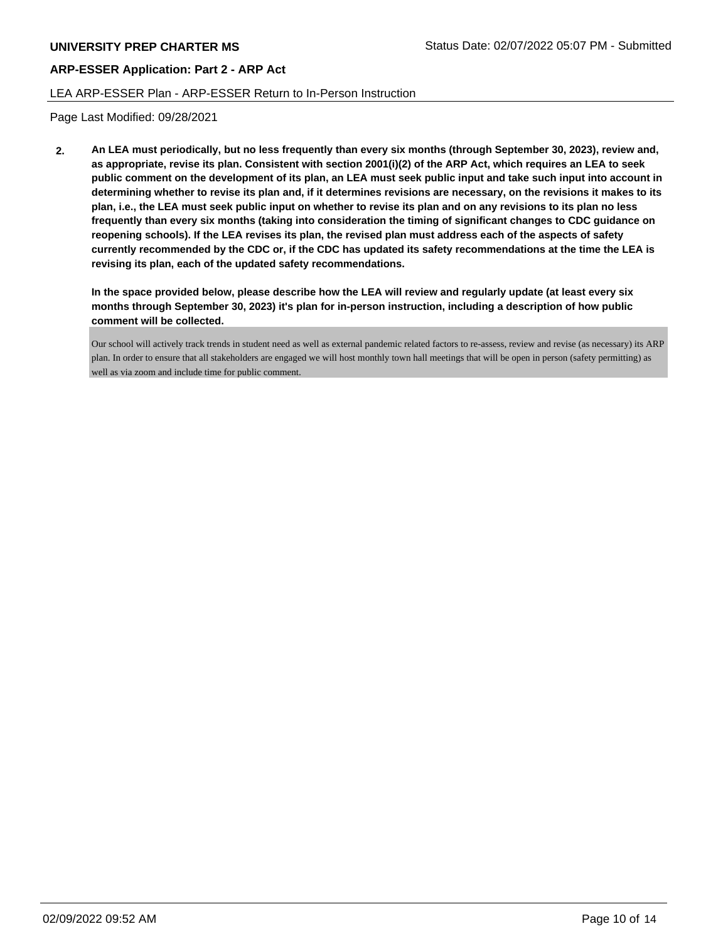## LEA ARP-ESSER Plan - ARP-ESSER Return to In-Person Instruction

Page Last Modified: 09/28/2021

**2. An LEA must periodically, but no less frequently than every six months (through September 30, 2023), review and, as appropriate, revise its plan. Consistent with section 2001(i)(2) of the ARP Act, which requires an LEA to seek public comment on the development of its plan, an LEA must seek public input and take such input into account in determining whether to revise its plan and, if it determines revisions are necessary, on the revisions it makes to its plan, i.e., the LEA must seek public input on whether to revise its plan and on any revisions to its plan no less frequently than every six months (taking into consideration the timing of significant changes to CDC guidance on reopening schools). If the LEA revises its plan, the revised plan must address each of the aspects of safety currently recommended by the CDC or, if the CDC has updated its safety recommendations at the time the LEA is revising its plan, each of the updated safety recommendations.**

**In the space provided below, please describe how the LEA will review and regularly update (at least every six months through September 30, 2023) it's plan for in-person instruction, including a description of how public comment will be collected.**

Our school will actively track trends in student need as well as external pandemic related factors to re-assess, review and revise (as necessary) its ARP plan. In order to ensure that all stakeholders are engaged we will host monthly town hall meetings that will be open in person (safety permitting) as well as via zoom and include time for public comment.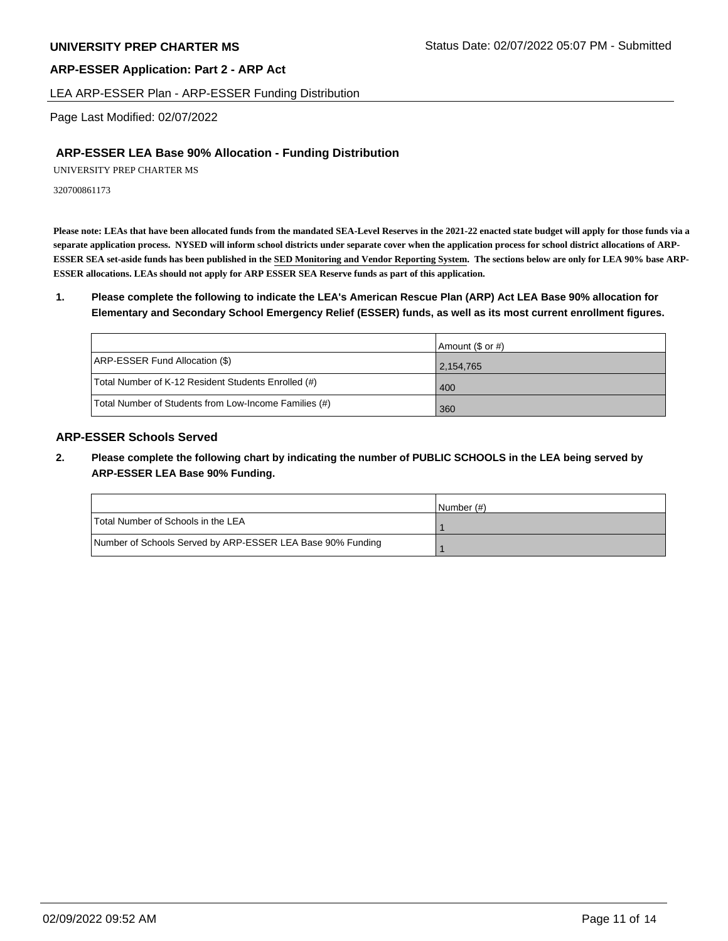#### LEA ARP-ESSER Plan - ARP-ESSER Funding Distribution

Page Last Modified: 02/07/2022

## **ARP-ESSER LEA Base 90% Allocation - Funding Distribution**

UNIVERSITY PREP CHARTER MS

320700861173

**Please note: LEAs that have been allocated funds from the mandated SEA-Level Reserves in the 2021-22 enacted state budget will apply for those funds via a separate application process. NYSED will inform school districts under separate cover when the application process for school district allocations of ARP-ESSER SEA set-aside funds has been published in the SED Monitoring and Vendor Reporting System. The sections below are only for LEA 90% base ARP-ESSER allocations. LEAs should not apply for ARP ESSER SEA Reserve funds as part of this application.**

**1. Please complete the following to indicate the LEA's American Rescue Plan (ARP) Act LEA Base 90% allocation for Elementary and Secondary School Emergency Relief (ESSER) funds, as well as its most current enrollment figures.**

|                                                       | Amount (\$ or #) |
|-------------------------------------------------------|------------------|
| ARP-ESSER Fund Allocation (\$)                        | 2,154,765        |
| Total Number of K-12 Resident Students Enrolled (#)   | 400              |
| Total Number of Students from Low-Income Families (#) | 360              |

# **ARP-ESSER Schools Served**

**2. Please complete the following chart by indicating the number of PUBLIC SCHOOLS in the LEA being served by ARP-ESSER LEA Base 90% Funding.**

|                                                            | INumber (#) |
|------------------------------------------------------------|-------------|
| Total Number of Schools in the LEA                         |             |
| Number of Schools Served by ARP-ESSER LEA Base 90% Funding |             |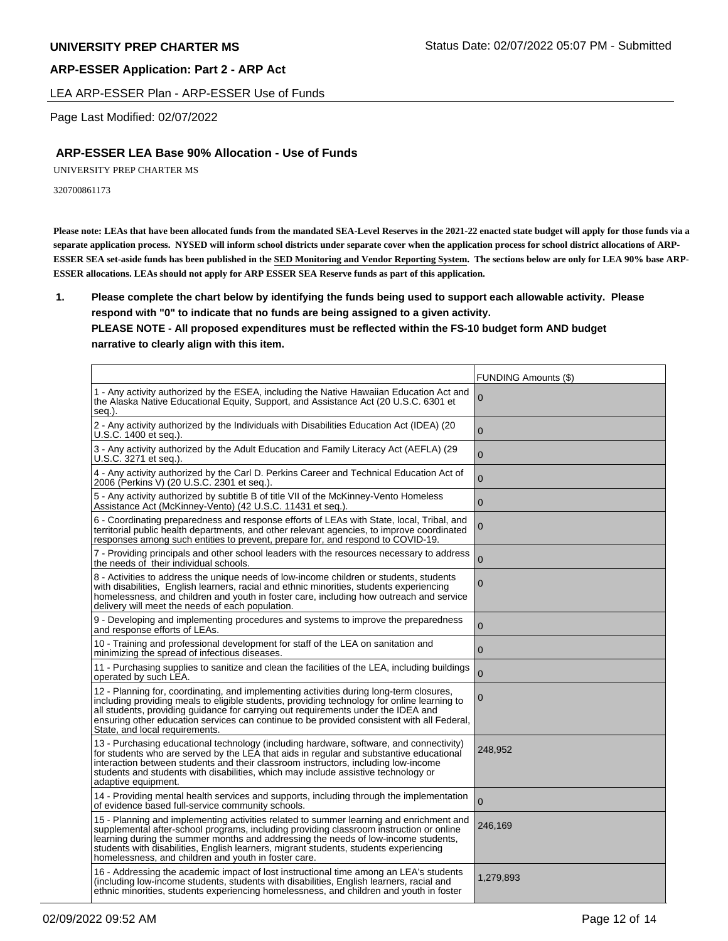LEA ARP-ESSER Plan - ARP-ESSER Use of Funds

Page Last Modified: 02/07/2022

# **ARP-ESSER LEA Base 90% Allocation - Use of Funds**

UNIVERSITY PREP CHARTER MS

320700861173

**Please note: LEAs that have been allocated funds from the mandated SEA-Level Reserves in the 2021-22 enacted state budget will apply for those funds via a separate application process. NYSED will inform school districts under separate cover when the application process for school district allocations of ARP-ESSER SEA set-aside funds has been published in the SED Monitoring and Vendor Reporting System. The sections below are only for LEA 90% base ARP-ESSER allocations. LEAs should not apply for ARP ESSER SEA Reserve funds as part of this application.**

**1. Please complete the chart below by identifying the funds being used to support each allowable activity. Please respond with "0" to indicate that no funds are being assigned to a given activity.** 

## **PLEASE NOTE - All proposed expenditures must be reflected within the FS-10 budget form AND budget narrative to clearly align with this item.**

|                                                                                                                                                                                                                                                                                                                                                                                                                           | <b>FUNDING Amounts (\$)</b> |
|---------------------------------------------------------------------------------------------------------------------------------------------------------------------------------------------------------------------------------------------------------------------------------------------------------------------------------------------------------------------------------------------------------------------------|-----------------------------|
| 1 - Any activity authorized by the ESEA, including the Native Hawaiian Education Act and<br>the Alaska Native Educational Equity, Support, and Assistance Act (20 U.S.C. 6301 et<br>seq.).                                                                                                                                                                                                                                | 0                           |
| 2 - Any activity authorized by the Individuals with Disabilities Education Act (IDEA) (20<br>U.S.C. 1400 et seq.).                                                                                                                                                                                                                                                                                                        | $\mathbf{0}$                |
| 3 - Any activity authorized by the Adult Education and Family Literacy Act (AEFLA) (29<br>U.S.C. 3271 et seq.).                                                                                                                                                                                                                                                                                                           | $\mathbf 0$                 |
| 4 - Any activity authorized by the Carl D. Perkins Career and Technical Education Act of<br>2006 (Perkins V) (20 U.S.C. 2301 et seq.).                                                                                                                                                                                                                                                                                    | $\mathbf{0}$                |
| 5 - Any activity authorized by subtitle B of title VII of the McKinney-Vento Homeless<br>Assistance Act (McKinney-Vento) (42 U.S.C. 11431 et seq.).                                                                                                                                                                                                                                                                       | $\mathbf 0$                 |
| 6 - Coordinating preparedness and response efforts of LEAs with State, local, Tribal, and<br>territorial public health departments, and other relevant agencies, to improve coordinated<br>responses among such entities to prevent, prepare for, and respond to COVID-19.                                                                                                                                                | 0                           |
| 7 - Providing principals and other school leaders with the resources necessary to address<br>the needs of their individual schools.                                                                                                                                                                                                                                                                                       | $\Omega$                    |
| 8 - Activities to address the unique needs of low-income children or students, students<br>with disabilities, English learners, racial and ethnic minorities, students experiencing<br>homelessness, and children and youth in foster care, including how outreach and service<br>delivery will meet the needs of each population.                                                                                        | 0                           |
| 9 - Developing and implementing procedures and systems to improve the preparedness<br>and response efforts of LEAs.                                                                                                                                                                                                                                                                                                       | $\overline{0}$              |
| 10 - Training and professional development for staff of the LEA on sanitation and<br>minimizing the spread of infectious diseases.                                                                                                                                                                                                                                                                                        | $\mathbf 0$                 |
| 11 - Purchasing supplies to sanitize and clean the facilities of the LEA, including buildings<br>operated by such LEA.                                                                                                                                                                                                                                                                                                    | $\Omega$                    |
| 12 - Planning for, coordinating, and implementing activities during long-term closures,<br>including providing meals to eligible students, providing technology for online learning to<br>all students, providing guidance for carrying out requirements under the IDEA and<br>ensuring other education services can continue to be provided consistent with all Federal,<br>State, and local requirements.               | 0                           |
| 13 - Purchasing educational technology (including hardware, software, and connectivity)<br>for students who are served by the LEA that aids in regular and substantive educational<br>interaction between students and their classroom instructors, including low-income<br>students and students with disabilities, which may include assistive technology or<br>adaptive equipment.                                     | 248,952                     |
| 14 - Providing mental health services and supports, including through the implementation<br>of evidence based full-service community schools.                                                                                                                                                                                                                                                                             | $\mathbf 0$                 |
| 15 - Planning and implementing activities related to summer learning and enrichment and<br>supplemental after-school programs, including providing classroom instruction or online<br>learning during the summer months and addressing the needs of low-income students,<br>students with disabilities, English learners, migrant students, students experiencing<br>homelessness, and children and youth in foster care. | 246,169                     |
| 16 - Addressing the academic impact of lost instructional time among an LEA's students<br>(including low-income students, students with disabilities, English learners, racial and<br>ethnic minorities, students experiencing homelessness, and children and youth in foster                                                                                                                                             | 1,279,893                   |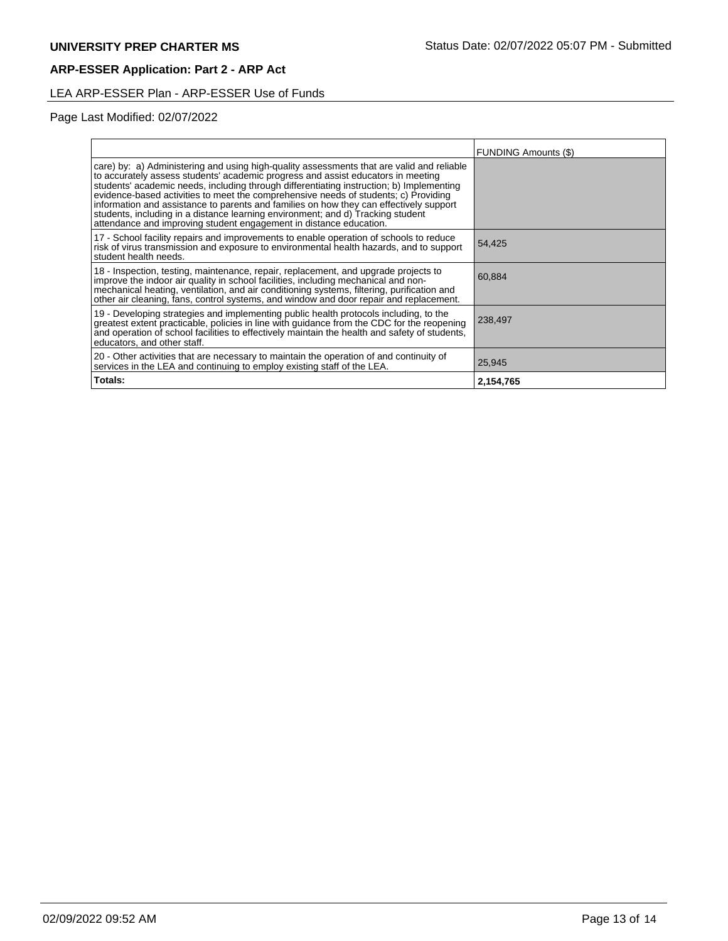# LEA ARP-ESSER Plan - ARP-ESSER Use of Funds

# Page Last Modified: 02/07/2022

|                                                                                                                                                                                                                                                                                                                                                                                                                                                                                                                                                                                                                     | <b>FUNDING Amounts (\$)</b> |
|---------------------------------------------------------------------------------------------------------------------------------------------------------------------------------------------------------------------------------------------------------------------------------------------------------------------------------------------------------------------------------------------------------------------------------------------------------------------------------------------------------------------------------------------------------------------------------------------------------------------|-----------------------------|
| care) by: a) Administering and using high-quality assessments that are valid and reliable<br>to accurately assess students' academic progress and assist educators in meeting<br>students' academic needs, including through differentiating instruction; b) Implementing<br>evidence-based activities to meet the comprehensive needs of students; c) Providing<br>information and assistance to parents and families on how they can effectively support<br>students, including in a distance learning environment; and d) Tracking student<br>attendance and improving student engagement in distance education. |                             |
| 17 - School facility repairs and improvements to enable operation of schools to reduce<br>risk of virus transmission and exposure to environmental health hazards, and to support<br>student health needs.                                                                                                                                                                                                                                                                                                                                                                                                          | 54,425                      |
| 18 - Inspection, testing, maintenance, repair, replacement, and upgrade projects to<br>improve the indoor air quality in school facilities, including mechanical and non-<br>mechanical heating, ventilation, and air conditioning systems, filtering, purification and<br>other air cleaning, fans, control systems, and window and door repair and replacement.                                                                                                                                                                                                                                                   | 60,884                      |
| 19 - Developing strategies and implementing public health protocols including, to the<br>greatest extent practicable, policies in line with guidance from the CDC for the reopening<br>and operation of school facilities to effectively maintain the health and safety of students,<br>educators, and other staff.                                                                                                                                                                                                                                                                                                 | 238,497                     |
| 20 - Other activities that are necessary to maintain the operation of and continuity of<br>services in the LEA and continuing to employ existing staff of the LEA.                                                                                                                                                                                                                                                                                                                                                                                                                                                  | 25,945                      |
| Totals:                                                                                                                                                                                                                                                                                                                                                                                                                                                                                                                                                                                                             | 2,154,765                   |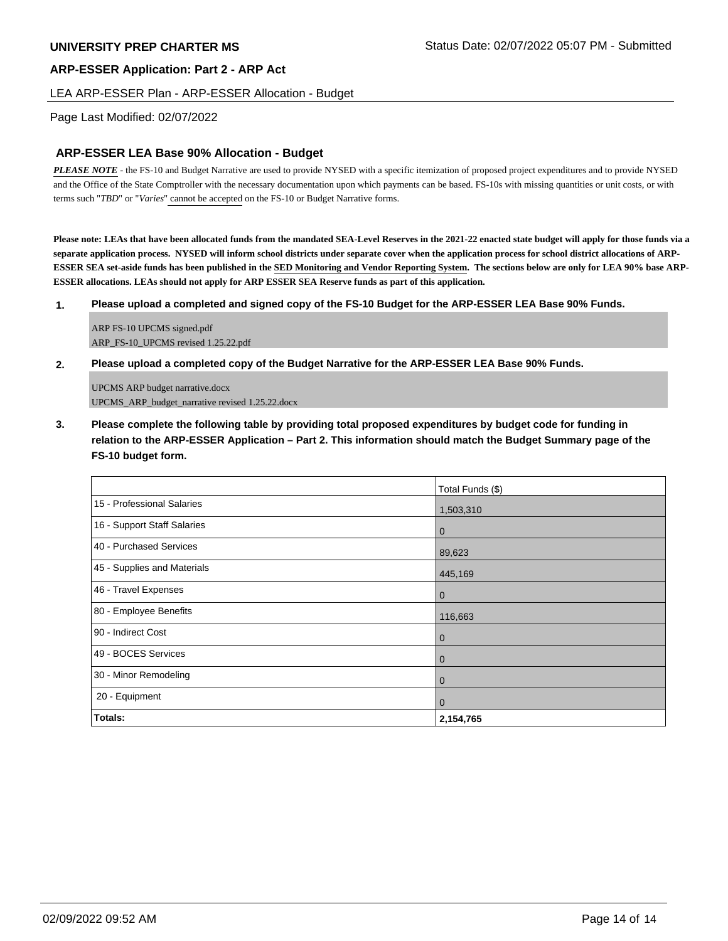## LEA ARP-ESSER Plan - ARP-ESSER Allocation - Budget

## Page Last Modified: 02/07/2022

# **ARP-ESSER LEA Base 90% Allocation - Budget**

*PLEASE NOTE* - the FS-10 and Budget Narrative are used to provide NYSED with a specific itemization of proposed project expenditures and to provide NYSED and the Office of the State Comptroller with the necessary documentation upon which payments can be based. FS-10s with missing quantities or unit costs, or with terms such "*TBD*" or "*Varies*" cannot be accepted on the FS-10 or Budget Narrative forms.

**Please note: LEAs that have been allocated funds from the mandated SEA-Level Reserves in the 2021-22 enacted state budget will apply for those funds via a separate application process. NYSED will inform school districts under separate cover when the application process for school district allocations of ARP-ESSER SEA set-aside funds has been published in the SED Monitoring and Vendor Reporting System. The sections below are only for LEA 90% base ARP-ESSER allocations. LEAs should not apply for ARP ESSER SEA Reserve funds as part of this application.**

#### **1. Please upload a completed and signed copy of the FS-10 Budget for the ARP-ESSER LEA Base 90% Funds.**

ARP FS-10 UPCMS signed.pdf ARP\_FS-10\_UPCMS revised 1.25.22.pdf

#### **2. Please upload a completed copy of the Budget Narrative for the ARP-ESSER LEA Base 90% Funds.**

UPCMS ARP budget narrative.docx UPCMS\_ARP\_budget\_narrative revised 1.25.22.docx

**3. Please complete the following table by providing total proposed expenditures by budget code for funding in relation to the ARP-ESSER Application – Part 2. This information should match the Budget Summary page of the FS-10 budget form.**

|                             | Total Funds (\$) |
|-----------------------------|------------------|
| 15 - Professional Salaries  | 1,503,310        |
| 16 - Support Staff Salaries | $\mathbf 0$      |
| 40 - Purchased Services     | 89,623           |
| 45 - Supplies and Materials | 445,169          |
| 46 - Travel Expenses        | $\mathbf 0$      |
| 80 - Employee Benefits      | 116,663          |
| 90 - Indirect Cost          | $\mathbf{0}$     |
| 49 - BOCES Services         | $\mathbf 0$      |
| 30 - Minor Remodeling       | $\mathbf 0$      |
| 20 - Equipment              | $\overline{0}$   |
| <b>Totals:</b>              | 2,154,765        |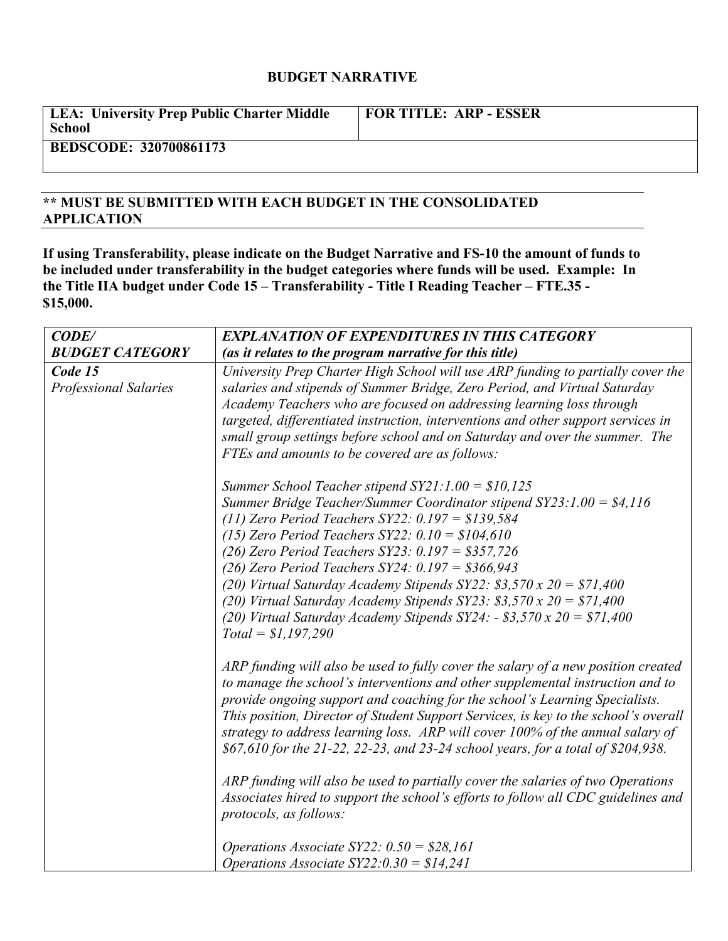# **BUDGET NARRATIVE**

| <b>LEA: University Prep Public Charter Middle</b><br>School | <b>FOR TITLE: ARP - ESSER</b> |
|-------------------------------------------------------------|-------------------------------|
| BEBCCOBE 330500061153                                       |                               |

# **BEDSCODE: 320700861173**

# **\*\* MUST BE SUBMITTED WITH EACH BUDGET IN THE CONSOLIDATED APPLICATION**

**If using Transferability, please indicate on the Budget Narrative and FS-10 the amount of funds to be included under transferability in the budget categories where funds will be used. Example: In the Title IIA budget under Code 15 – Transferability - Title I Reading Teacher – FTE.35 - \$15,000.**

| CODE/                                   | <b>EXPLANATION OF EXPENDITURES IN THIS CATEGORY</b>                                                                                                                                                                                                                                                                                                                                                                                                                                                                                                                                                                                                                                                                                                              |  |
|-----------------------------------------|------------------------------------------------------------------------------------------------------------------------------------------------------------------------------------------------------------------------------------------------------------------------------------------------------------------------------------------------------------------------------------------------------------------------------------------------------------------------------------------------------------------------------------------------------------------------------------------------------------------------------------------------------------------------------------------------------------------------------------------------------------------|--|
| <b>BUDGET CATEGORY</b>                  | (as it relates to the program narrative for this title)                                                                                                                                                                                                                                                                                                                                                                                                                                                                                                                                                                                                                                                                                                          |  |
| Code 15<br><b>Professional Salaries</b> | University Prep Charter High School will use ARP funding to partially cover the<br>salaries and stipends of Summer Bridge, Zero Period, and Virtual Saturday<br>Academy Teachers who are focused on addressing learning loss through<br>targeted, differentiated instruction, interventions and other support services in<br>small group settings before school and on Saturday and over the summer. The<br>FTEs and amounts to be covered are as follows:                                                                                                                                                                                                                                                                                                       |  |
|                                         | Summer School Teacher stipend $SY21:1.00 = $10,125$<br>Summer Bridge Teacher/Summer Coordinator stipend $SY23$ : 1.00 = \$4,116<br>(11) Zero Period Teachers $SY22: 0.197 = $139,584$<br>(15) Zero Period Teachers $SY22: 0.10 = $104,610$<br>(26) Zero Period Teachers SY23: $0.197 = $357,726$<br>(26) Zero Period Teachers $SY24$ : 0.197 = \$366,943<br>(20) Virtual Saturday Academy Stipends SY22: \$3,570 x 20 = \$71,400<br>(20) Virtual Saturday Academy Stipends SY23: \$3,570 x 20 = \$71,400<br>(20) Virtual Saturday Academy Stipends $SY24$ : - \$3,570 x 20 = \$71,400<br>$Total = $1,197,290$                                                                                                                                                    |  |
|                                         | ARP funding will also be used to fully cover the salary of a new position created<br>to manage the school's interventions and other supplemental instruction and to<br>provide ongoing support and coaching for the school's Learning Specialists.<br>This position, Director of Student Support Services, is key to the school's overall<br>strategy to address learning loss. ARP will cover 100% of the annual salary of<br>\$67,610 for the 21-22, 22-23, and 23-24 school years, for a total of \$204,938.<br>ARP funding will also be used to partially cover the salaries of two Operations<br>Associates hired to support the school's efforts to follow all CDC guidelines and<br>protocols, as follows:<br>Operations Associate SY22: $0.50 = $28,161$ |  |
|                                         | Operations Associate $SY22:0.30 = $14,241$                                                                                                                                                                                                                                                                                                                                                                                                                                                                                                                                                                                                                                                                                                                       |  |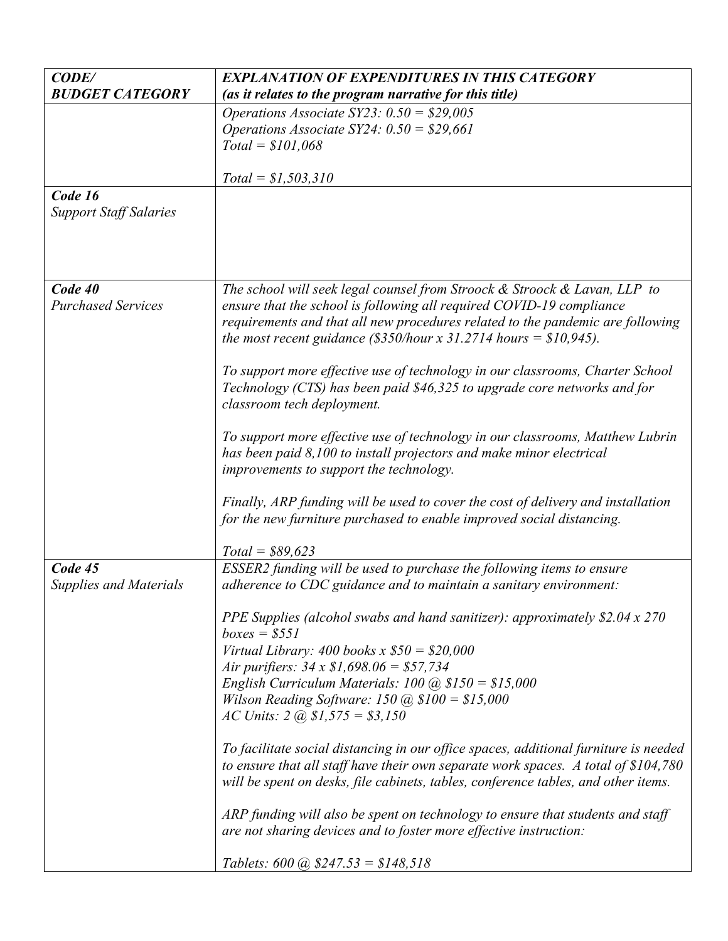| requirements and that all new procedures related to the pandemic are following                                                                                |
|---------------------------------------------------------------------------------------------------------------------------------------------------------------|
|                                                                                                                                                               |
|                                                                                                                                                               |
| To support more effective use of technology in our classrooms, Charter School                                                                                 |
|                                                                                                                                                               |
|                                                                                                                                                               |
|                                                                                                                                                               |
| To support more effective use of technology in our classrooms, Matthew Lubrin                                                                                 |
|                                                                                                                                                               |
|                                                                                                                                                               |
|                                                                                                                                                               |
| Finally, ARP funding will be used to cover the cost of delivery and installation                                                                              |
|                                                                                                                                                               |
|                                                                                                                                                               |
|                                                                                                                                                               |
|                                                                                                                                                               |
|                                                                                                                                                               |
|                                                                                                                                                               |
|                                                                                                                                                               |
|                                                                                                                                                               |
|                                                                                                                                                               |
|                                                                                                                                                               |
|                                                                                                                                                               |
|                                                                                                                                                               |
|                                                                                                                                                               |
| To facilitate social distancing in our office spaces, additional furniture is needed                                                                          |
| to ensure that all staff have their own separate work spaces. A total of \$104,780                                                                            |
| will be spent on desks, file cabinets, tables, conference tables, and other items.                                                                            |
|                                                                                                                                                               |
|                                                                                                                                                               |
|                                                                                                                                                               |
|                                                                                                                                                               |
| PPE Supplies (alcohol swabs and hand sanitizer): approximately \$2.04 x 270<br>ARP funding will also be spent on technology to ensure that students and staff |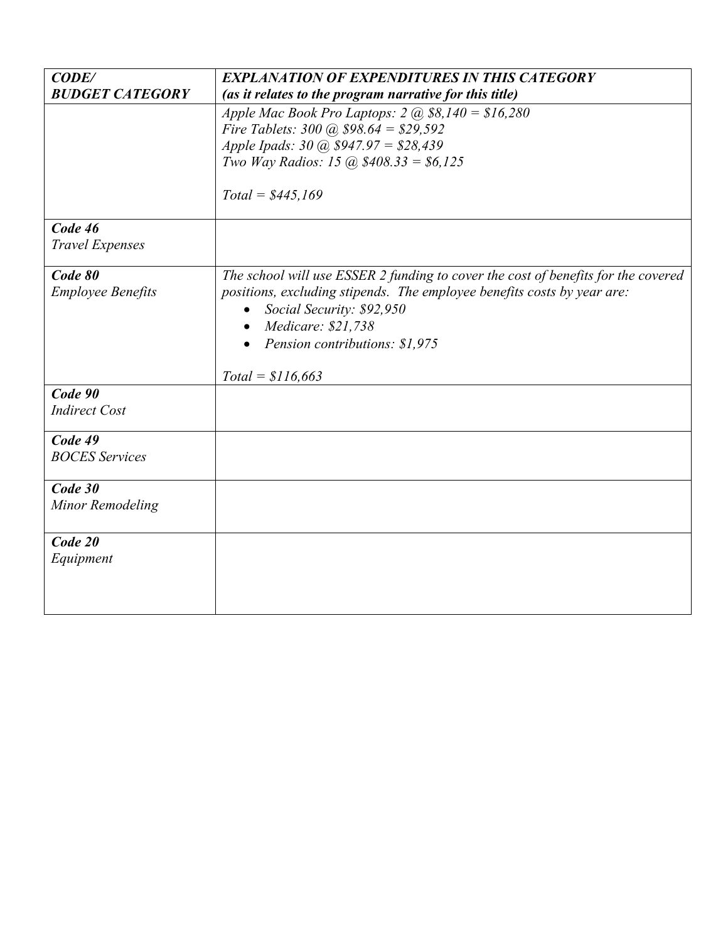| CODE/                    | <b>EXPLANATION OF EXPENDITURES IN THIS CATEGORY</b>                               |
|--------------------------|-----------------------------------------------------------------------------------|
| <b>BUDGET CATEGORY</b>   | (as it relates to the program narrative for this title)                           |
|                          | Apple Mac Book Pro Laptops: $2 @ $8,140 = $16,280$                                |
|                          | Fire Tablets: $300 \ (\hat{a})\ 598.64 = $29,592$                                 |
|                          | Apple Ipads: $30 \ (\hat{a})\ \$947.97 = \$28,439$                                |
|                          | Two Way Radios: 15 (a) $$408.33 = $6,125$                                         |
|                          | $Total = $445,169$                                                                |
| Code 46                  |                                                                                   |
| <b>Travel Expenses</b>   |                                                                                   |
| Code 80                  | The school will use ESSER 2 funding to cover the cost of benefits for the covered |
| <b>Employee Benefits</b> | positions, excluding stipends. The employee benefits costs by year are:           |
|                          | Social Security: \$92,950                                                         |
|                          | Medicare: \$21,738<br>$\bullet$                                                   |
|                          | Pension contributions: \$1,975                                                    |
|                          |                                                                                   |
| Code 90                  | $Total = $116,663$                                                                |
|                          |                                                                                   |
| <b>Indirect Cost</b>     |                                                                                   |
| Code 49                  |                                                                                   |
| <b>BOCES</b> Services    |                                                                                   |
| Code 30                  |                                                                                   |
|                          |                                                                                   |
| Minor Remodeling         |                                                                                   |
| Code 20                  |                                                                                   |
| Equipment                |                                                                                   |
|                          |                                                                                   |
|                          |                                                                                   |
|                          |                                                                                   |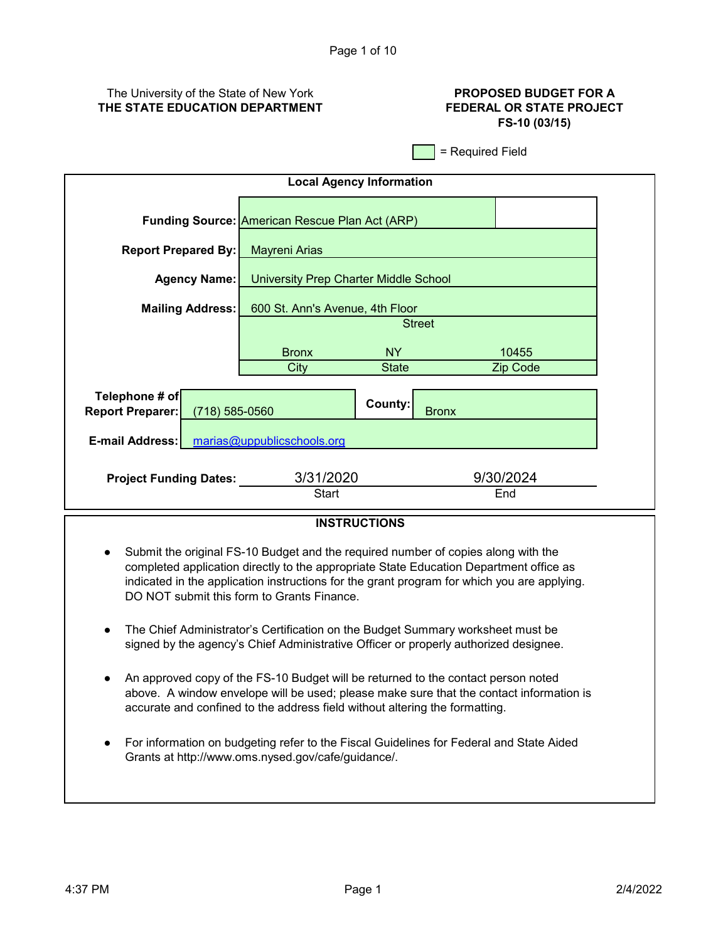# The University of the State of New York **THE STATE EDUCATION DEPARTMENT**

# **PROPOSED BUDGET FOR A FEDERAL OR STATE PROJECT FS-10 (03/15)**

= Required Field

| <b>Local Agency Information</b>                      |                                                       |                                              |                  |  |
|------------------------------------------------------|-------------------------------------------------------|----------------------------------------------|------------------|--|
|                                                      | <b>Funding Source: American Rescue Plan Act (ARP)</b> |                                              |                  |  |
| <b>Report Prepared By:</b>                           | <b>Mayreni Arias</b>                                  |                                              |                  |  |
| <b>Agency Name:</b>                                  |                                                       | <b>University Prep Charter Middle School</b> |                  |  |
| <b>Mailing Address:</b>                              |                                                       | 600 St. Ann's Avenue, 4th Floor              |                  |  |
|                                                      |                                                       |                                              | <b>Street</b>    |  |
|                                                      | <b>Bronx</b>                                          | <b>NY</b>                                    | 10455            |  |
|                                                      | City                                                  | <b>State</b>                                 | Zip Code         |  |
| Telephone # of<br><b>Report Preparer:</b>            | $(718) 585 - 0560$                                    | County:                                      | <b>Bronx</b>     |  |
| marias@uppublicschools.org<br><b>E-mail Address:</b> |                                                       |                                              |                  |  |
| <b>Project Funding Dates:</b>                        | 3/31/2020<br><b>Start</b>                             |                                              | 9/30/2024<br>End |  |

# **INSTRUCTIONS**

- Submit the original FS-10 Budget and the required number of copies along with the completed application directly to the appropriate State Education Department office as indicated in the application instructions for the grant program for which you are applying. DO NOT submit this form to Grants Finance.
- $\bullet$ The Chief Administrator's Certification on the Budget Summary worksheet must be signed by the agency's Chief Administrative Officer or properly authorized designee.
- An approved copy of the FS-10 Budget will be returned to the contact person noted above. A window envelope will be used; please make sure that the contact information is accurate and confined to the address field without altering the formatting.
- For information on budgeting refer to the Fiscal Guidelines for Federal and State Aided Grants at http://www.oms.nysed.gov/cafe/guidance/.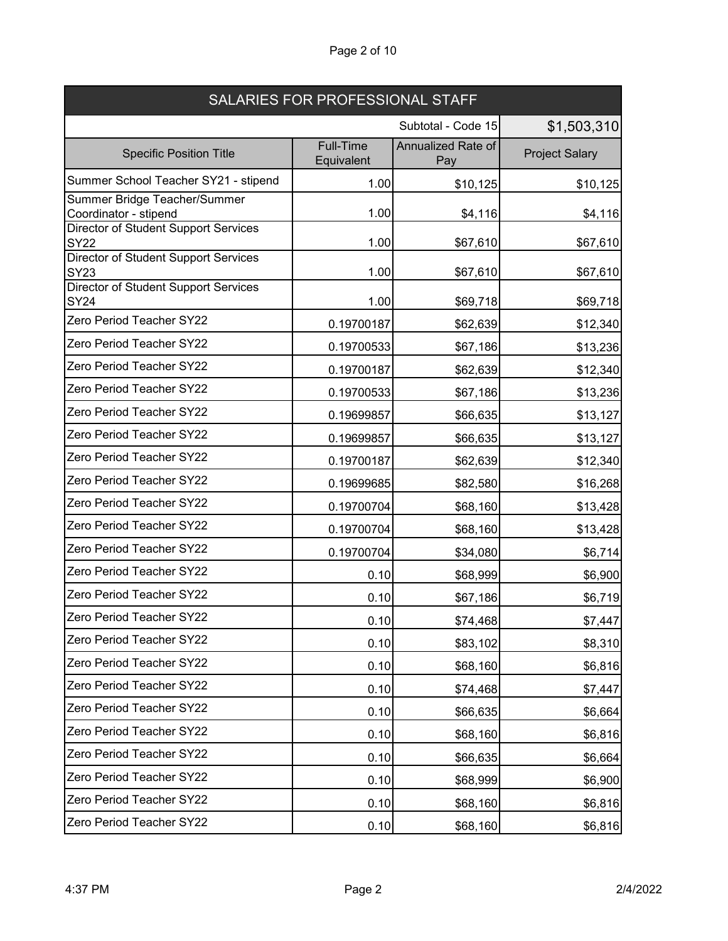| Page 2 of 10 |  |
|--------------|--|
|--------------|--|

| SALARIES FOR PROFESSIONAL STAFF                            |                                |                           |                       |  |
|------------------------------------------------------------|--------------------------------|---------------------------|-----------------------|--|
| Subtotal - Code 15                                         |                                |                           | \$1,503,310           |  |
| <b>Specific Position Title</b>                             | <b>Full-Time</b><br>Equivalent | Annualized Rate of<br>Pay | <b>Project Salary</b> |  |
| Summer School Teacher SY21 - stipend                       | 1.00                           | \$10,125                  | \$10,125              |  |
| Summer Bridge Teacher/Summer<br>Coordinator - stipend      | 1.00                           | \$4,116                   | \$4,116               |  |
| <b>Director of Student Support Services</b><br><b>SY22</b> | 1.00                           | \$67,610                  | \$67,610              |  |
| <b>Director of Student Support Services</b><br><b>SY23</b> | 1.00                           | \$67,610                  | \$67,610              |  |
| <b>Director of Student Support Services</b><br><b>SY24</b> | 1.00                           | \$69,718                  | \$69,718              |  |
| Zero Period Teacher SY22                                   | 0.19700187                     | \$62,639                  | \$12,340              |  |
| Zero Period Teacher SY22                                   | 0.19700533                     | \$67,186                  | \$13,236              |  |
| Zero Period Teacher SY22                                   | 0.19700187                     | \$62,639                  | \$12,340              |  |
| Zero Period Teacher SY22                                   | 0.19700533                     | \$67,186                  | \$13,236              |  |
| Zero Period Teacher SY22                                   | 0.19699857                     | \$66,635                  | \$13,127              |  |
| Zero Period Teacher SY22                                   | 0.19699857                     | \$66,635                  | \$13,127              |  |
| Zero Period Teacher SY22                                   | 0.19700187                     | \$62,639                  | \$12,340              |  |
| Zero Period Teacher SY22                                   | 0.19699685                     | \$82,580                  | \$16,268              |  |
| Zero Period Teacher SY22                                   | 0.19700704                     | \$68,160                  | \$13,428              |  |
| Zero Period Teacher SY22                                   | 0.19700704                     | \$68,160                  | \$13,428              |  |
| Zero Period Teacher SY22                                   | 0.19700704                     | \$34,080                  | \$6,714               |  |
| Zero Period Teacher SY22                                   | 0.10                           | \$68,999                  | \$6,900               |  |
| Zero Period Teacher SY22                                   | 0.10                           | \$67,186                  | \$6,719               |  |
| Zero Period Teacher SY22                                   | 0.10                           | \$74,468                  | \$7,447               |  |
| Zero Period Teacher SY22                                   | 0.10                           | \$83,102                  | \$8,310               |  |
| Zero Period Teacher SY22                                   | 0.10                           | \$68,160                  | \$6,816               |  |
| Zero Period Teacher SY22                                   | 0.10                           | \$74,468                  | \$7,447               |  |
| Zero Period Teacher SY22                                   | 0.10                           | \$66,635                  | \$6,664               |  |
| Zero Period Teacher SY22                                   | 0.10                           | \$68,160                  | \$6,816               |  |
| Zero Period Teacher SY22                                   | 0.10                           | \$66,635                  | \$6,664               |  |
| Zero Period Teacher SY22                                   | 0.10                           | \$68,999                  | \$6,900               |  |
| Zero Period Teacher SY22                                   | 0.10                           | \$68,160                  | \$6,816               |  |
| Zero Period Teacher SY22                                   | 0.10                           | \$68,160                  | \$6,816               |  |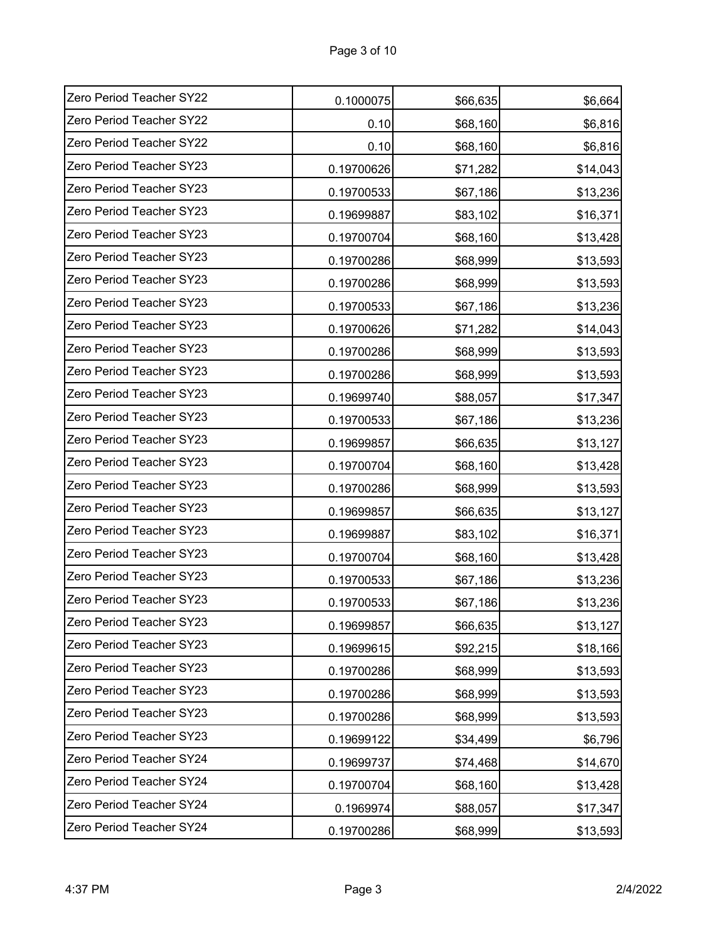| Zero Period Teacher SY22 | 0.1000075  | \$66,635 | \$6,664  |
|--------------------------|------------|----------|----------|
| Zero Period Teacher SY22 | 0.10       | \$68,160 | \$6,816  |
| Zero Period Teacher SY22 | 0.10       | \$68,160 | \$6,816  |
| Zero Period Teacher SY23 | 0.19700626 | \$71,282 | \$14,043 |
| Zero Period Teacher SY23 | 0.19700533 | \$67,186 | \$13,236 |
| Zero Period Teacher SY23 | 0.19699887 | \$83,102 | \$16,371 |
| Zero Period Teacher SY23 | 0.19700704 | \$68,160 | \$13,428 |
| Zero Period Teacher SY23 | 0.19700286 | \$68,999 | \$13,593 |
| Zero Period Teacher SY23 | 0.19700286 | \$68,999 | \$13,593 |
| Zero Period Teacher SY23 | 0.19700533 | \$67,186 | \$13,236 |
| Zero Period Teacher SY23 | 0.19700626 | \$71,282 | \$14,043 |
| Zero Period Teacher SY23 | 0.19700286 | \$68,999 | \$13,593 |
| Zero Period Teacher SY23 | 0.19700286 | \$68,999 | \$13,593 |
| Zero Period Teacher SY23 | 0.19699740 | \$88,057 | \$17,347 |
| Zero Period Teacher SY23 | 0.19700533 | \$67,186 | \$13,236 |
| Zero Period Teacher SY23 | 0.19699857 | \$66,635 | \$13,127 |
| Zero Period Teacher SY23 | 0.19700704 | \$68,160 | \$13,428 |
| Zero Period Teacher SY23 | 0.19700286 | \$68,999 | \$13,593 |
| Zero Period Teacher SY23 | 0.19699857 | \$66,635 | \$13,127 |
| Zero Period Teacher SY23 | 0.19699887 | \$83,102 | \$16,371 |
| Zero Period Teacher SY23 | 0.19700704 | \$68,160 | \$13,428 |
| Zero Period Teacher SY23 | 0.19700533 | \$67,186 | \$13,236 |
| Zero Period Teacher SY23 | 0.19700533 | \$67,186 | \$13,236 |
| Zero Period Teacher SY23 | 0.19699857 | \$66,635 | \$13,127 |
| Zero Period Teacher SY23 | 0.19699615 | \$92,215 | \$18,166 |
| Zero Period Teacher SY23 | 0.19700286 | \$68,999 | \$13,593 |
| Zero Period Teacher SY23 | 0.19700286 | \$68,999 | \$13,593 |
| Zero Period Teacher SY23 | 0.19700286 | \$68,999 | \$13,593 |
| Zero Period Teacher SY23 | 0.19699122 | \$34,499 | \$6,796  |
| Zero Period Teacher SY24 | 0.19699737 | \$74,468 | \$14,670 |
| Zero Period Teacher SY24 | 0.19700704 | \$68,160 | \$13,428 |
| Zero Period Teacher SY24 | 0.1969974  | \$88,057 | \$17,347 |
| Zero Period Teacher SY24 | 0.19700286 | \$68,999 | \$13,593 |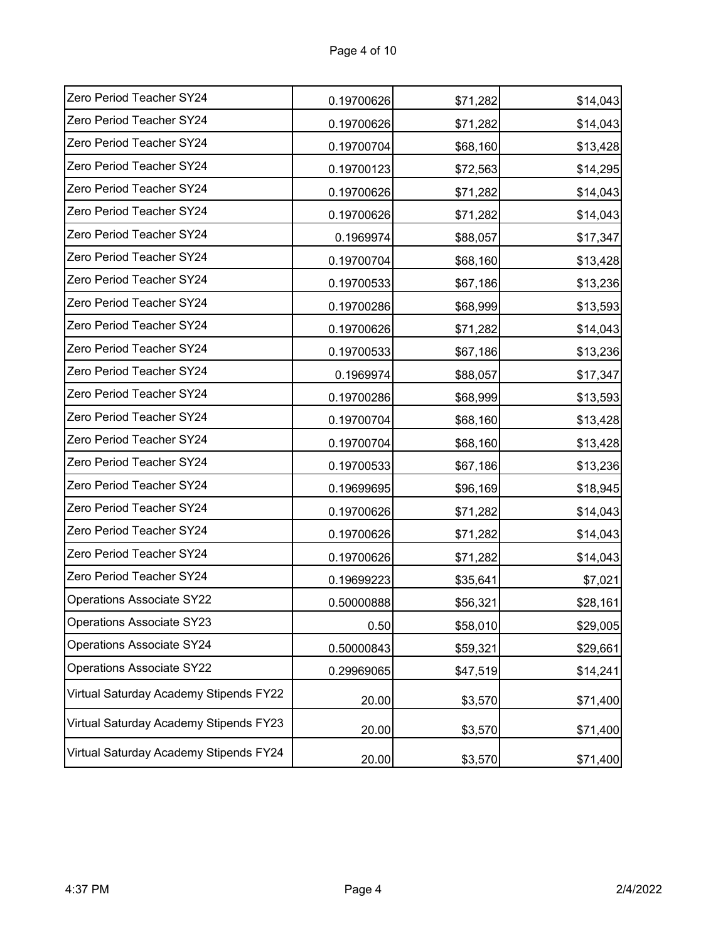| Zero Period Teacher SY24               | 0.19700626 | \$71,282 | \$14,043 |
|----------------------------------------|------------|----------|----------|
| Zero Period Teacher SY24               | 0.19700626 | \$71,282 | \$14,043 |
| Zero Period Teacher SY24               | 0.19700704 | \$68,160 | \$13,428 |
| Zero Period Teacher SY24               | 0.19700123 | \$72,563 | \$14,295 |
| Zero Period Teacher SY24               | 0.19700626 | \$71,282 | \$14,043 |
| Zero Period Teacher SY24               | 0.19700626 | \$71,282 | \$14,043 |
| Zero Period Teacher SY24               | 0.1969974  | \$88,057 | \$17,347 |
| Zero Period Teacher SY24               | 0.19700704 | \$68,160 | \$13,428 |
| Zero Period Teacher SY24               | 0.19700533 | \$67,186 | \$13,236 |
| Zero Period Teacher SY24               | 0.19700286 | \$68,999 | \$13,593 |
| Zero Period Teacher SY24               | 0.19700626 | \$71,282 | \$14,043 |
| Zero Period Teacher SY24               | 0.19700533 | \$67,186 | \$13,236 |
| Zero Period Teacher SY24               | 0.1969974  | \$88,057 | \$17,347 |
| Zero Period Teacher SY24               | 0.19700286 | \$68,999 | \$13,593 |
| Zero Period Teacher SY24               | 0.19700704 | \$68,160 | \$13,428 |
| Zero Period Teacher SY24               | 0.19700704 | \$68,160 | \$13,428 |
| Zero Period Teacher SY24               | 0.19700533 | \$67,186 | \$13,236 |
| Zero Period Teacher SY24               | 0.19699695 | \$96,169 | \$18,945 |
| Zero Period Teacher SY24               | 0.19700626 | \$71,282 | \$14,043 |
| Zero Period Teacher SY24               | 0.19700626 | \$71,282 | \$14,043 |
| Zero Period Teacher SY24               | 0.19700626 | \$71,282 | \$14,043 |
| Zero Period Teacher SY24               | 0.19699223 | \$35,641 | \$7,021  |
| <b>Operations Associate SY22</b>       | 0.50000888 | \$56,321 | \$28,161 |
| Operations Associate SY23              | 0.50       | \$58,010 | \$29,005 |
| <b>Operations Associate SY24</b>       | 0.50000843 | \$59,321 | \$29,661 |
| <b>Operations Associate SY22</b>       | 0.29969065 | \$47,519 | \$14,241 |
| Virtual Saturday Academy Stipends FY22 | 20.00      | \$3,570  | \$71,400 |
| Virtual Saturday Academy Stipends FY23 | 20.00      | \$3,570  | \$71,400 |
| Virtual Saturday Academy Stipends FY24 | 20.00      | \$3,570  | \$71,400 |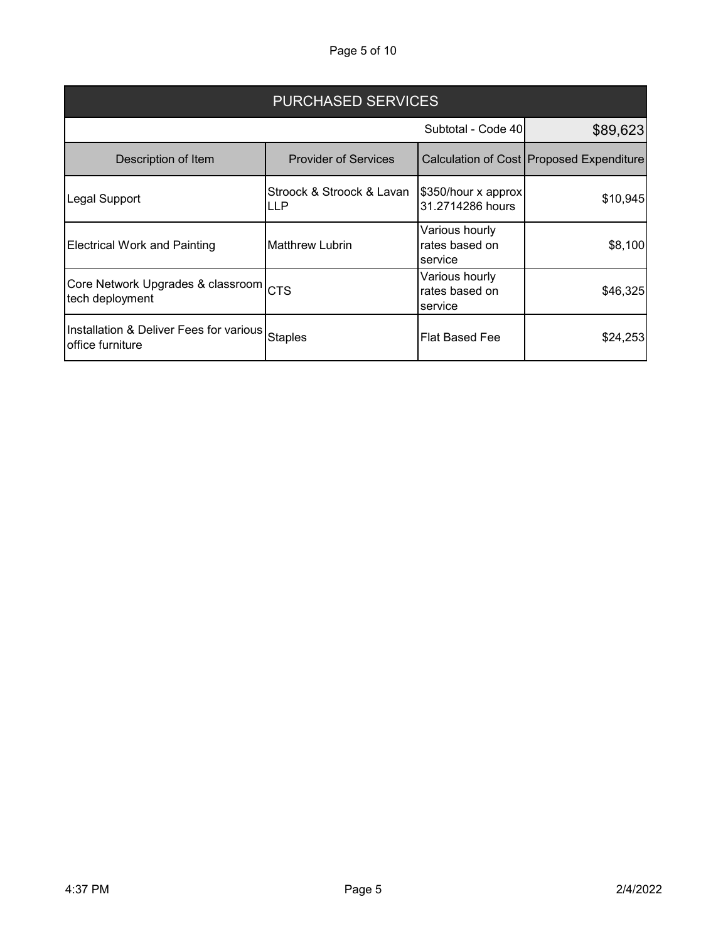Page 5 of 10

| <b>PURCHASED SERVICES</b>                                               |                                  |                                             |                                          |  |
|-------------------------------------------------------------------------|----------------------------------|---------------------------------------------|------------------------------------------|--|
|                                                                         |                                  | Subtotal - Code 40                          | \$89,623                                 |  |
| Description of Item                                                     | <b>Provider of Services</b>      |                                             | Calculation of Cost Proposed Expenditure |  |
| Legal Support                                                           | Stroock & Stroock & Lavan<br>LLP | \$350/hour x approx<br>31.2714286 hours     | \$10,945                                 |  |
| <b>Electrical Work and Painting</b>                                     | <b>Matthrew Lubrin</b>           | Various hourly<br>rates based on<br>service | \$8,100                                  |  |
| Core Network Upgrades & classroom $ _{\mathsf{CTS}}$<br>tech deployment |                                  | Various hourly<br>rates based on<br>service | \$46,325                                 |  |
| Installation & Deliver Fees for various<br>office furniture             | <b>Staples</b>                   | Flat Based Fee                              | \$24,253                                 |  |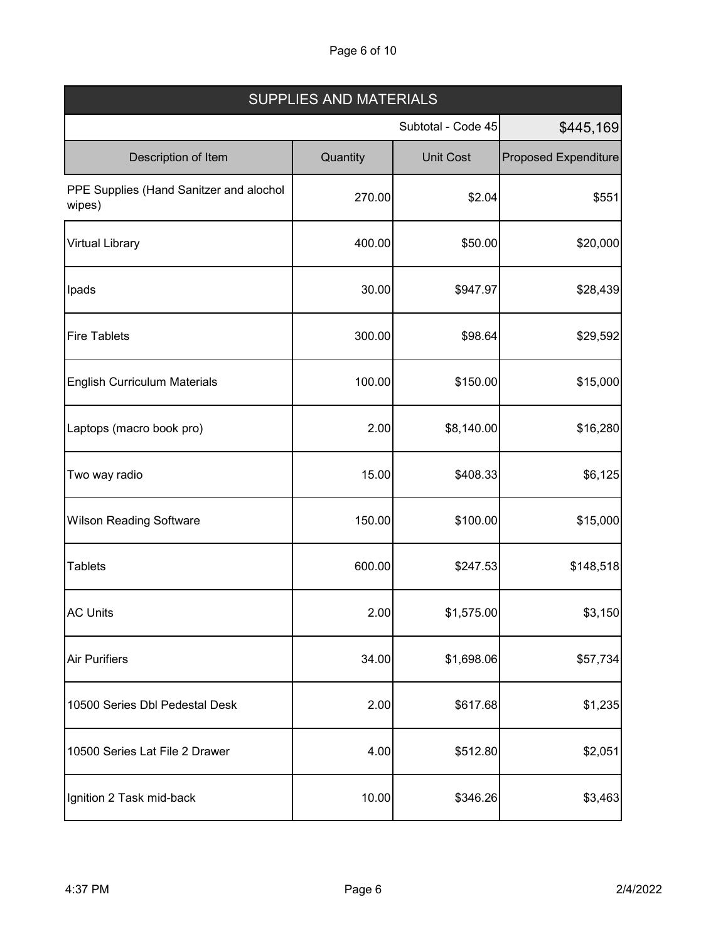# Page 6 of 10

| <b>SUPPLIES AND MATERIALS</b>                     |          |                    |                             |  |
|---------------------------------------------------|----------|--------------------|-----------------------------|--|
|                                                   |          | Subtotal - Code 45 | \$445,169                   |  |
| Description of Item                               | Quantity | <b>Unit Cost</b>   | <b>Proposed Expenditure</b> |  |
| PPE Supplies (Hand Sanitzer and alochol<br>wipes) | 270.00   | \$2.04             | \$551                       |  |
| <b>Virtual Library</b>                            | 400.00   | \$50.00            | \$20,000                    |  |
| Ipads                                             | 30.00    | \$947.97           | \$28,439                    |  |
| <b>Fire Tablets</b>                               | 300.00   | \$98.64            | \$29,592                    |  |
| <b>English Curriculum Materials</b>               | 100.00   | \$150.00           | \$15,000                    |  |
| Laptops (macro book pro)                          | 2.00     | \$8,140.00         | \$16,280                    |  |
| Two way radio                                     | 15.00    | \$408.33           | \$6,125                     |  |
| <b>Wilson Reading Software</b>                    | 150.00   | \$100.00           | \$15,000                    |  |
| <b>Tablets</b>                                    | 600.00   | \$247.53           | \$148,518                   |  |
| <b>AC Units</b>                                   | 2.00     | \$1,575.00         | \$3,150                     |  |
| <b>Air Purifiers</b>                              | 34.00    | \$1,698.06         | \$57,734                    |  |
| 10500 Series Dbl Pedestal Desk                    | 2.00     | \$617.68           | \$1,235                     |  |
| 10500 Series Lat File 2 Drawer                    | 4.00     | \$512.80           | \$2,051                     |  |
| Ignition 2 Task mid-back                          | 10.00    | \$346.26           | \$3,463                     |  |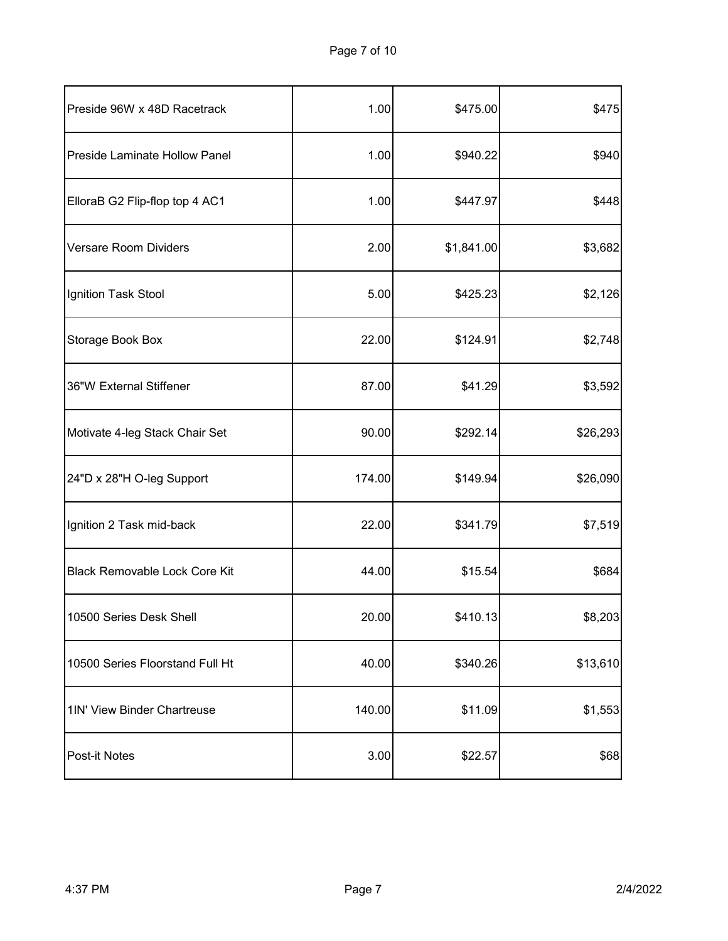| Preside 96W x 48D Racetrack          | 1.00   | \$475.00   | \$475    |
|--------------------------------------|--------|------------|----------|
| <b>Preside Laminate Hollow Panel</b> | 1.00   | \$940.22   | \$940    |
| ElloraB G2 Flip-flop top 4 AC1       | 1.00   | \$447.97   | \$448    |
| Versare Room Dividers                | 2.00   | \$1,841.00 | \$3,682  |
| Ignition Task Stool                  | 5.00   | \$425.23   | \$2,126  |
| Storage Book Box                     | 22.00  | \$124.91   | \$2,748  |
| 36"W External Stiffener              | 87.00  | \$41.29    | \$3,592  |
| Motivate 4-leg Stack Chair Set       | 90.00  | \$292.14   | \$26,293 |
| 24"D x 28"H O-leg Support            | 174.00 | \$149.94   | \$26,090 |
| Ignition 2 Task mid-back             | 22.00  | \$341.79   | \$7,519  |
| <b>Black Removable Lock Core Kit</b> | 44.00  | \$15.54    | \$684    |
| 10500 Series Desk Shell              | 20.00  | \$410.13   | \$8,203  |
| 10500 Series Floorstand Full Ht      | 40.00  | \$340.26   | \$13,610 |
| 1IN' View Binder Chartreuse          | 140.00 | \$11.09    | \$1,553  |
| Post-it Notes                        | 3.00   | \$22.57    | \$68     |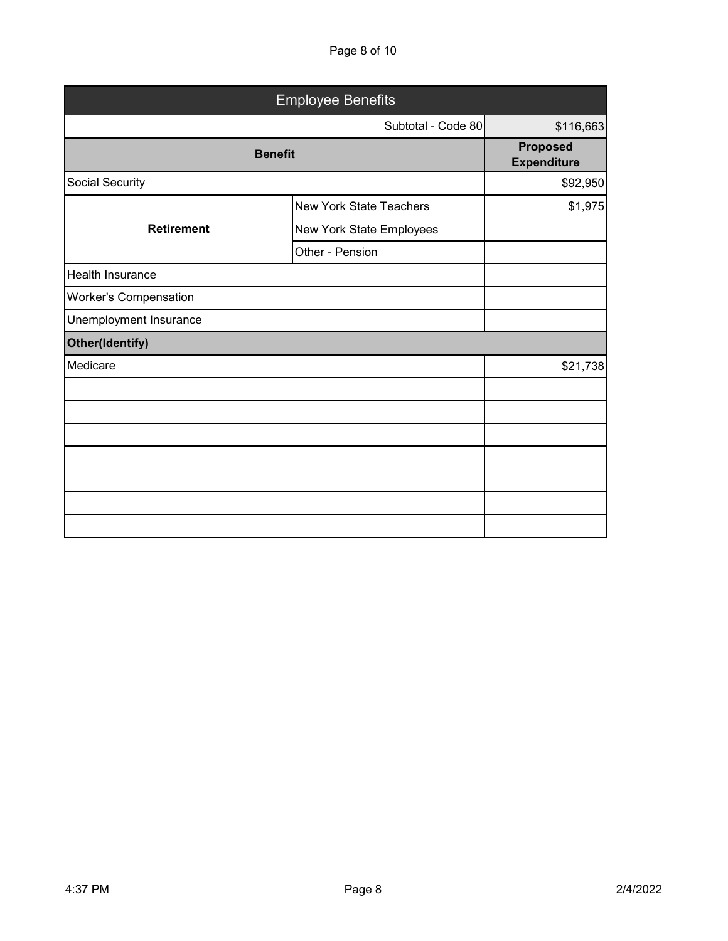Page 8 of 10

| <b>Employee Benefits</b>     |                                |                                       |  |
|------------------------------|--------------------------------|---------------------------------------|--|
|                              | Subtotal - Code 80             | \$116,663                             |  |
| <b>Benefit</b>               |                                | <b>Proposed</b><br><b>Expenditure</b> |  |
| Social Security              |                                | \$92,950                              |  |
|                              | <b>New York State Teachers</b> | \$1,975                               |  |
| <b>Retirement</b>            | New York State Employees       |                                       |  |
|                              | Other - Pension                |                                       |  |
| Health Insurance             |                                |                                       |  |
| <b>Worker's Compensation</b> |                                |                                       |  |
| Unemployment Insurance       |                                |                                       |  |
| Other(Identify)              |                                |                                       |  |
| Medicare                     |                                | \$21,738                              |  |
|                              |                                |                                       |  |
|                              |                                |                                       |  |
|                              |                                |                                       |  |
|                              |                                |                                       |  |
|                              |                                |                                       |  |
|                              |                                |                                       |  |
|                              |                                |                                       |  |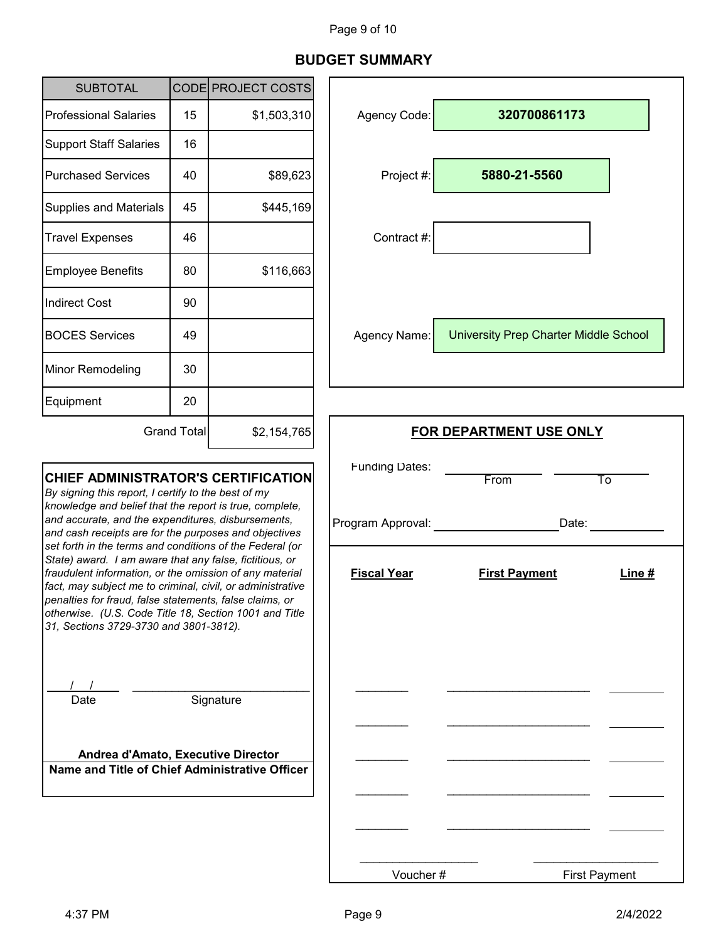# Page 9 of 10

# **BUDGET SUMMARY**

| <b>SUBTOTAL</b>                                                                                                                                                                                                                                                                                                                                                                                                                                                                                                                                                                                                                                                                            |    | CODE PROJECT COSTS                         |                                  |                                              |  |
|--------------------------------------------------------------------------------------------------------------------------------------------------------------------------------------------------------------------------------------------------------------------------------------------------------------------------------------------------------------------------------------------------------------------------------------------------------------------------------------------------------------------------------------------------------------------------------------------------------------------------------------------------------------------------------------------|----|--------------------------------------------|----------------------------------|----------------------------------------------|--|
| <b>Professional Salaries</b>                                                                                                                                                                                                                                                                                                                                                                                                                                                                                                                                                                                                                                                               | 15 | \$1,503,310                                | Agency Code:                     | 320700861173                                 |  |
| <b>Support Staff Salaries</b>                                                                                                                                                                                                                                                                                                                                                                                                                                                                                                                                                                                                                                                              | 16 |                                            |                                  |                                              |  |
| <b>Purchased Services</b>                                                                                                                                                                                                                                                                                                                                                                                                                                                                                                                                                                                                                                                                  | 40 | \$89,623                                   | Project #:                       | 5880-21-5560                                 |  |
| <b>Supplies and Materials</b>                                                                                                                                                                                                                                                                                                                                                                                                                                                                                                                                                                                                                                                              | 45 | \$445,169                                  |                                  |                                              |  |
| <b>Travel Expenses</b>                                                                                                                                                                                                                                                                                                                                                                                                                                                                                                                                                                                                                                                                     | 46 |                                            | Contract #:                      |                                              |  |
| <b>Employee Benefits</b>                                                                                                                                                                                                                                                                                                                                                                                                                                                                                                                                                                                                                                                                   | 80 | \$116,663                                  |                                  |                                              |  |
| <b>Indirect Cost</b>                                                                                                                                                                                                                                                                                                                                                                                                                                                                                                                                                                                                                                                                       | 90 |                                            |                                  |                                              |  |
| <b>BOCES Services</b>                                                                                                                                                                                                                                                                                                                                                                                                                                                                                                                                                                                                                                                                      | 49 |                                            | Agency Name:                     | <b>University Prep Charter Middle School</b> |  |
| Minor Remodeling                                                                                                                                                                                                                                                                                                                                                                                                                                                                                                                                                                                                                                                                           | 30 |                                            |                                  |                                              |  |
| Equipment                                                                                                                                                                                                                                                                                                                                                                                                                                                                                                                                                                                                                                                                                  | 20 |                                            |                                  |                                              |  |
| <b>Grand Total</b><br>\$2,154,765                                                                                                                                                                                                                                                                                                                                                                                                                                                                                                                                                                                                                                                          |    |                                            | <b>FOR DEPARTMENT USE ONLY</b>   |                                              |  |
| <b>CHIEF ADMINISTRATOR'S CERTIFICATION</b><br>By signing this report, I certify to the best of my<br>knowledge and belief that the report is true, complete,<br>and accurate, and the expenditures, disbursements,<br>and cash receipts are for the purposes and objectives<br>set forth in the terms and conditions of the Federal (or<br>State) award. I am aware that any false, fictitious, or<br>fraudulent information, or the omission of any material<br>fact, may subject me to criminal, civil, or administrative<br>penalties for fraud, false statements, false claims, or<br>otherwise. (U.S. Code Title 18, Section 1001 and Title<br>31, Sections 3729-3730 and 3801-3812). |    | <b>Funding Dates:</b><br>Program Approval: | From<br>To<br>Date:              |                                              |  |
|                                                                                                                                                                                                                                                                                                                                                                                                                                                                                                                                                                                                                                                                                            |    | <b>Fiscal Year</b>                         | <b>First Payment</b><br>Line $#$ |                                              |  |
| Date<br>Andrea d'Amato, Executive Director<br>Name and Title of Chief Administrative Officer                                                                                                                                                                                                                                                                                                                                                                                                                                                                                                                                                                                               |    | Signature                                  |                                  |                                              |  |
|                                                                                                                                                                                                                                                                                                                                                                                                                                                                                                                                                                                                                                                                                            |    |                                            |                                  |                                              |  |

\_\_\_\_\_\_\_\_\_\_\_\_\_\_\_\_\_\_

Voucher #

\_\_\_\_\_\_\_\_\_\_\_\_\_\_\_\_\_\_\_ First Payment